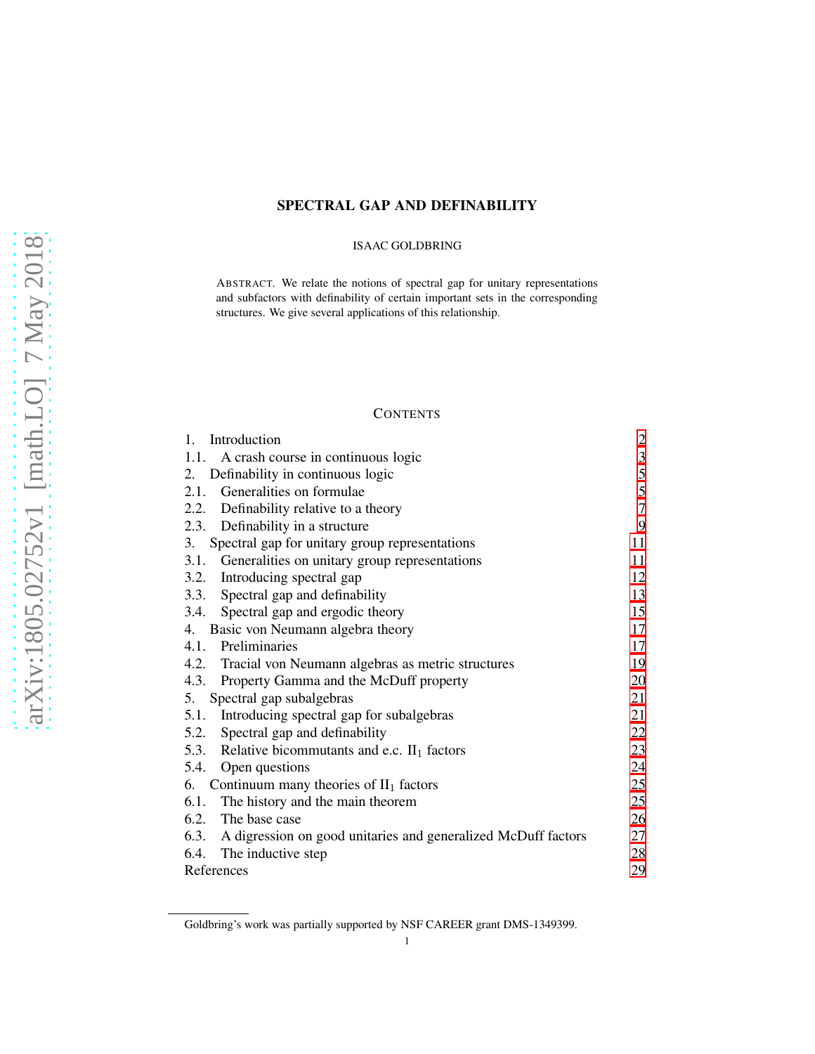# SPECTRAL GAP AND DEFINABILITY

### ISAAC GOLDBRING

ABSTRACT. We relate the notions of spectral gap for unitary representations and subfactors with definability of certain important sets in the corresponding structures. We give several applications of this relationship.

# **CONTENTS**

| Introduction<br>1.                                                 | $\overline{c}$ |
|--------------------------------------------------------------------|----------------|
| 1.1. A crash course in continuous logic                            | $\mathfrak{Z}$ |
| Definability in continuous logic<br>2.                             | $\sqrt{5}$     |
| 2.1. Generalities on formulae                                      | 5              |
| 2.2. Definability relative to a theory                             | $\tau$         |
| 2.3. Definability in a structure                                   | 9              |
| Spectral gap for unitary group representations<br>3.               | 11             |
| 3.1. Generalities on unitary group representations                 | 11             |
| 3.2. Introducing spectral gap                                      | 12             |
| 3.3. Spectral gap and definability                                 | 13             |
| 3.4. Spectral gap and ergodic theory                               | 15             |
| 4. Basic von Neumann algebra theory                                | 17             |
| 4.1. Preliminaries                                                 | 17             |
| 4.2. Tracial von Neumann algebras as metric structures             | 19             |
| 4.3. Property Gamma and the McDuff property                        | 20             |
| Spectral gap subalgebras<br>5.                                     | 21             |
| Introducing spectral gap for subalgebras<br>5.1.                   | 21             |
| 5.2. Spectral gap and definability                                 | 22             |
| 5.3. Relative bicommutants and e.c. $II_1$ factors                 | 23             |
| 5.4. Open questions                                                | 24             |
| 6. Continuum many theories of $II_1$ factors                       | 25             |
| 6.1.<br>The history and the main theorem                           | 25             |
| 6.2. The base case                                                 | 26             |
| 6.3. A digression on good unitaries and generalized McDuff factors | 27             |
| 6.4. The inductive step                                            | 28             |
| References                                                         | 29             |

Goldbring's work was partially supported by NSF CAREER grant DMS-1349399.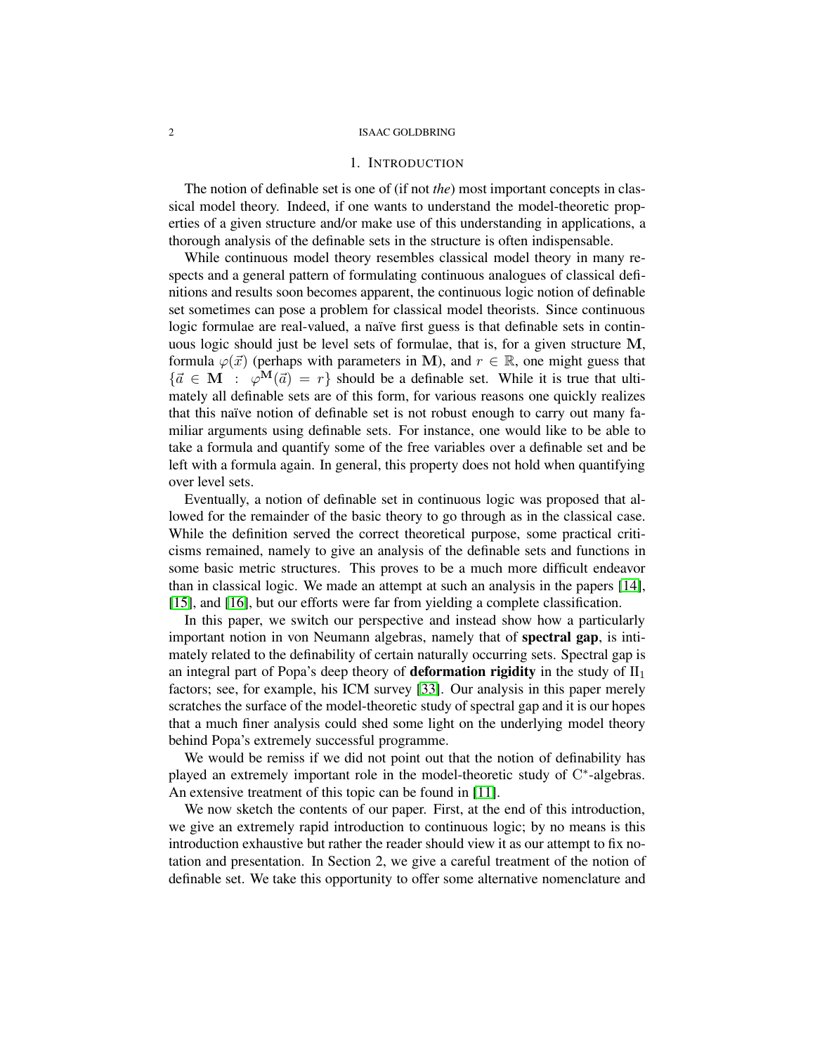## 1. INTRODUCTION

<span id="page-1-0"></span>The notion of definable set is one of (if not *the*) most important concepts in classical model theory. Indeed, if one wants to understand the model-theoretic properties of a given structure and/or make use of this understanding in applications, a thorough analysis of the definable sets in the structure is often indispensable.

While continuous model theory resembles classical model theory in many respects and a general pattern of formulating continuous analogues of classical definitions and results soon becomes apparent, the continuous logic notion of definable set sometimes can pose a problem for classical model theorists. Since continuous logic formulae are real-valued, a naïve first guess is that definable sets in continuous logic should just be level sets of formulae, that is, for a given structure M, formula  $\varphi(\vec{x})$  (perhaps with parameters in M), and  $r \in \mathbb{R}$ , one might guess that  ${\{\vec{a} \in \mathbf{M} : \varphi^{\mathbf{M}}(\vec{a}) = r\}}$  should be a definable set. While it is true that ultimately all definable sets are of this form, for various reasons one quickly realizes that this naïve notion of definable set is not robust enough to carry out many familiar arguments using definable sets. For instance, one would like to be able to take a formula and quantify some of the free variables over a definable set and be left with a formula again. In general, this property does not hold when quantifying over level sets.

Eventually, a notion of definable set in continuous logic was proposed that allowed for the remainder of the basic theory to go through as in the classical case. While the definition served the correct theoretical purpose, some practical criticisms remained, namely to give an analysis of the definable sets and functions in some basic metric structures. This proves to be a much more difficult endeavor than in classical logic. We made an attempt at such an analysis in the papers [\[14\]](#page-28-1), [\[15\]](#page-29-0), and [\[16\]](#page-29-1), but our efforts were far from yielding a complete classification.

In this paper, we switch our perspective and instead show how a particularly important notion in von Neumann algebras, namely that of spectral gap, is intimately related to the definability of certain naturally occurring sets. Spectral gap is an integral part of Popa's deep theory of **deformation rigidity** in the study of  $II_1$ factors; see, for example, his ICM survey [\[33\]](#page-29-2). Our analysis in this paper merely scratches the surface of the model-theoretic study of spectral gap and it is our hopes that a much finer analysis could shed some light on the underlying model theory behind Popa's extremely successful programme.

We would be remiss if we did not point out that the notion of definability has played an extremely important role in the model-theoretic study of C\*-algebras. An extensive treatment of this topic can be found in [\[11\]](#page-28-2).

We now sketch the contents of our paper. First, at the end of this introduction, we give an extremely rapid introduction to continuous logic; by no means is this introduction exhaustive but rather the reader should view it as our attempt to fix notation and presentation. In Section 2, we give a careful treatment of the notion of definable set. We take this opportunity to offer some alternative nomenclature and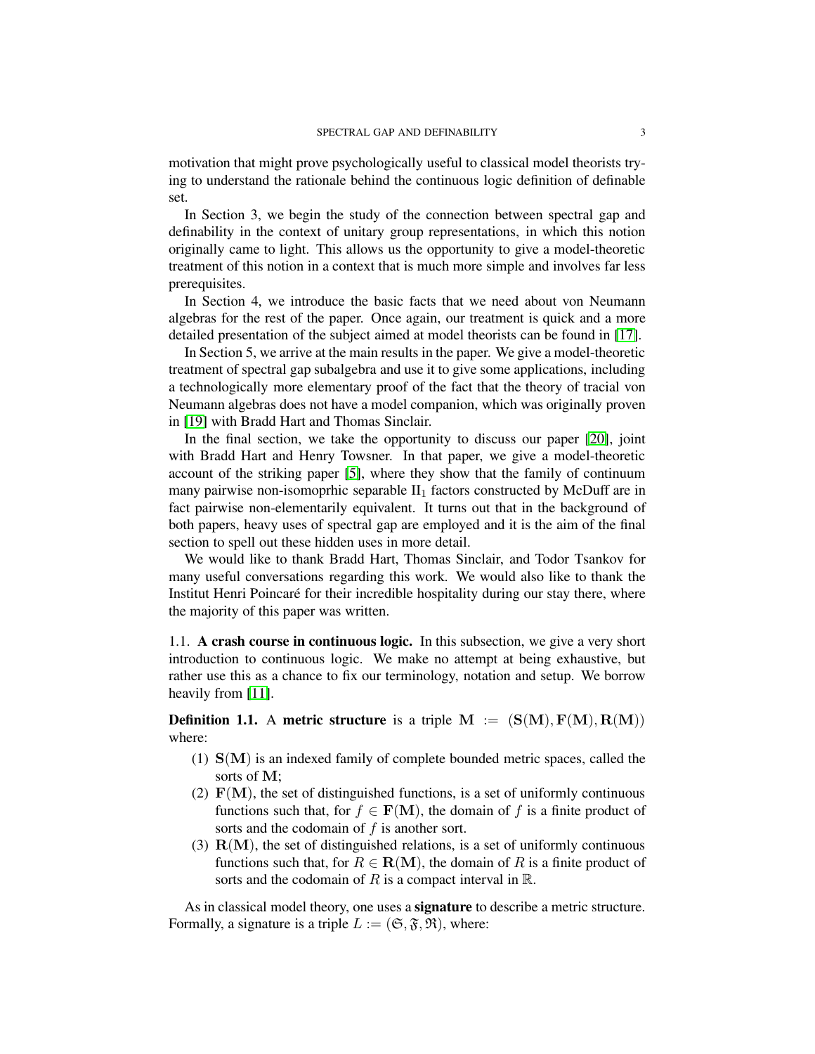motivation that might prove psychologically useful to classical model theorists trying to understand the rationale behind the continuous logic definition of definable set.

In Section 3, we begin the study of the connection between spectral gap and definability in the context of unitary group representations, in which this notion originally came to light. This allows us the opportunity to give a model-theoretic treatment of this notion in a context that is much more simple and involves far less prerequisites.

In Section 4, we introduce the basic facts that we need about von Neumann algebras for the rest of the paper. Once again, our treatment is quick and a more detailed presentation of the subject aimed at model theorists can be found in [\[17\]](#page-29-3).

In Section 5, we arrive at the main results in the paper. We give a model-theoretic treatment of spectral gap subalgebra and use it to give some applications, including a technologically more elementary proof of the fact that the theory of tracial von Neumann algebras does not have a model companion, which was originally proven in [\[19\]](#page-29-4) with Bradd Hart and Thomas Sinclair.

In the final section, we take the opportunity to discuss our paper [\[20\]](#page-29-5), joint with Bradd Hart and Henry Towsner. In that paper, we give a model-theoretic account of the striking paper [\[5\]](#page-28-3), where they show that the family of continuum many pairwise non-isomoprhic separable  $II_1$  factors constructed by McDuff are in fact pairwise non-elementarily equivalent. It turns out that in the background of both papers, heavy uses of spectral gap are employed and it is the aim of the final section to spell out these hidden uses in more detail.

We would like to thank Bradd Hart, Thomas Sinclair, and Todor Tsankov for many useful conversations regarding this work. We would also like to thank the Institut Henri Poincaré for their incredible hospitality during our stay there, where the majority of this paper was written.

<span id="page-2-0"></span>1.1. A crash course in continuous logic. In this subsection, we give a very short introduction to continuous logic. We make no attempt at being exhaustive, but rather use this as a chance to fix our terminology, notation and setup. We borrow heavily from [\[11\]](#page-28-2).

**Definition 1.1.** A metric structure is a triple  $M := (S(M), F(M), R(M))$ where:

- (1)  $S(M)$  is an indexed family of complete bounded metric spaces, called the sorts of M;
- (2)  $F(M)$ , the set of distinguished functions, is a set of uniformly continuous functions such that, for  $f \in \mathbf{F}(\mathbf{M})$ , the domain of f is a finite product of sorts and the codomain of  $f$  is another sort.
- (3)  $R(M)$ , the set of distinguished relations, is a set of uniformly continuous functions such that, for  $R \in \mathbf{R}(\mathbf{M})$ , the domain of R is a finite product of sorts and the codomain of R is a compact interval in  $\mathbb{R}$ .

As in classical model theory, one uses a **signature** to describe a metric structure. Formally, a signature is a triple  $L := (\mathfrak{S}, \mathfrak{F}, \mathfrak{R})$ , where: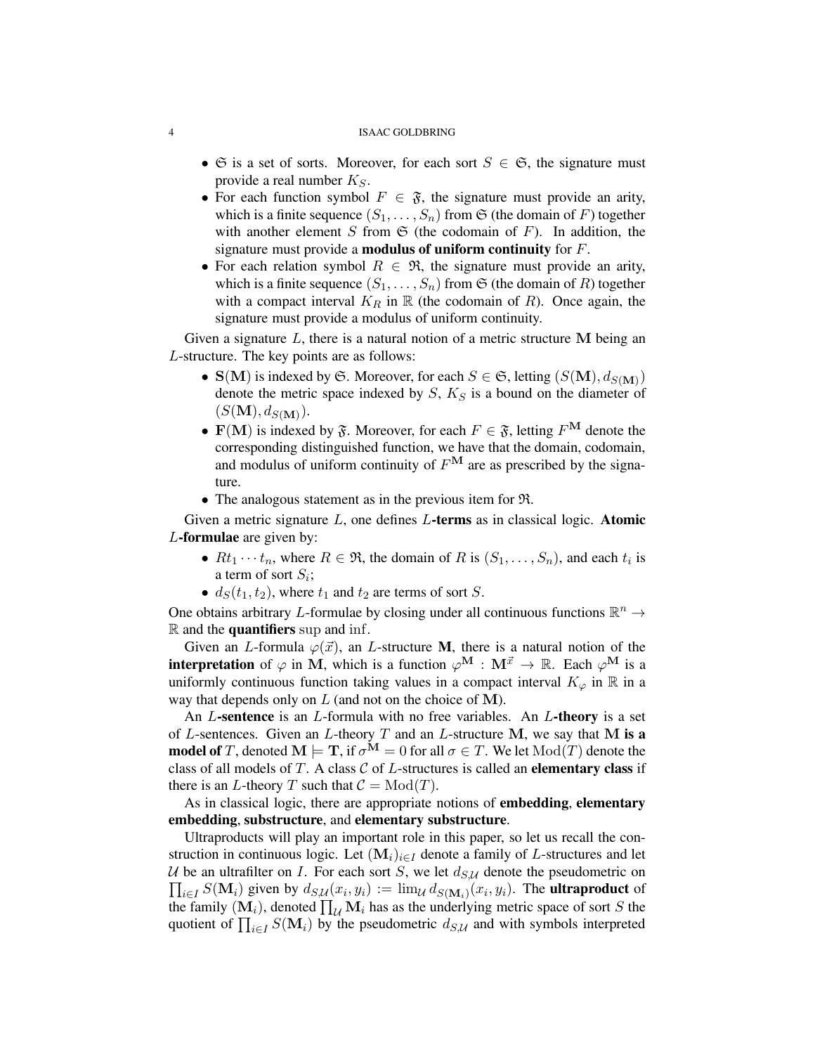- $\mathfrak{S}$  is a set of sorts. Moreover, for each sort  $S \in \mathfrak{S}$ , the signature must provide a real number  $K_S$ .
- For each function symbol  $F \in \mathfrak{F}$ , the signature must provide an arity, which is a finite sequence  $(S_1, \ldots, S_n)$  from  $\mathfrak S$  (the domain of F) together with another element S from  $\mathfrak S$  (the codomain of F). In addition, the signature must provide a **modulus of uniform continuity** for  $F$ .
- For each relation symbol  $R \in \mathfrak{R}$ , the signature must provide an arity, which is a finite sequence  $(S_1, \ldots, S_n)$  from  $\mathfrak S$  (the domain of R) together with a compact interval  $K_R$  in  $\mathbb R$  (the codomain of R). Once again, the signature must provide a modulus of uniform continuity.

Given a signature  $L$ , there is a natural notion of a metric structure M being an L-structure. The key points are as follows:

- $S(M)$  is indexed by  $S$ . Moreover, for each  $S \in S$ , letting  $(S(M), d_{S(M)})$ denote the metric space indexed by  $S$ ,  $K_S$  is a bound on the diameter of  $(S(M), d_{S(M)})$ .
- $\mathbf{F}(\mathbf{M})$  is indexed by  $\mathfrak{F}$ . Moreover, for each  $F \in \mathfrak{F}$ , letting  $F^{\mathbf{M}}$  denote the corresponding distinguished function, we have that the domain, codomain, and modulus of uniform continuity of  $F^{\mathbf{M}}$  are as prescribed by the signature.
- The analogous statement as in the previous item for R.

Given a metric signature  $L$ , one defines  $L$ -terms as in classical logic. Atomic L-formulae are given by:

- $Rt_1 \cdots t_n$ , where  $R \in \mathfrak{R}$ , the domain of R is  $(S_1, \ldots, S_n)$ , and each  $t_i$  is a term of sort  $S_i$ ;
- $d_S(t_1, t_2)$ , where  $t_1$  and  $t_2$  are terms of sort S.

One obtains arbitrary L-formulae by closing under all continuous functions  $\mathbb{R}^n \to$  $\mathbb R$  and the **quantifiers** sup and inf.

Given an L-formula  $\varphi(\vec{x})$ , an L-structure M, there is a natural notion of the **interpretation** of  $\varphi$  in M, which is a function  $\varphi^{\mathbf{M}} : \mathbf{M}^{\vec{x}} \to \mathbb{R}$ . Each  $\varphi^{\mathbf{M}}$  is a uniformly continuous function taking values in a compact interval  $K_{\varphi}$  in  $\mathbb R$  in a way that depends only on  $L$  (and not on the choice of M).

An  $L$ -sentence is an  $L$ -formula with no free variables. An  $L$ -theory is a set of L-sentences. Given an L-theory  $T$  and an L-structure M, we say that M is a **model of** T, denoted  $M \models T$ , if  $\sigma^M = 0$  for all  $\sigma \in T$ . We let  $Mod(T)$  denote the class of all models of  $T$ . A class  $C$  of  $L$ -structures is called an elementary class if there is an L-theory T such that  $C = Mod(T)$ .

As in classical logic, there are appropriate notions of **embedding**, **elementary** embedding, substructure, and elementary substructure.

Ultraproducts will play an important role in this paper, so let us recall the construction in continuous logic. Let  $(M_i)_{i\in I}$  denote a family of L-structures and let U be an ultrafilter on I. For each sort S, we let  $d_{S,U}$  denote the pseudometric on  $\prod_{i \in I} S(\mathbf{M}_i)$  given by  $d_{S,\mathcal{U}}(x_i, y_i) := \lim_{\mathcal{U}} d_{S(\mathbf{M}_i)}(x_i, y_i)$ . The **ultraproduct** of the family  $(M_i)$ , denoted  $\prod_{\mathcal{U}} M_i$  has as the underlying metric space of sort S the quotient of  $\prod_{i\in I} S(\mathbf{M}_i)$  by the pseudometric  $d_{S,\mathcal{U}}$  and with symbols interpreted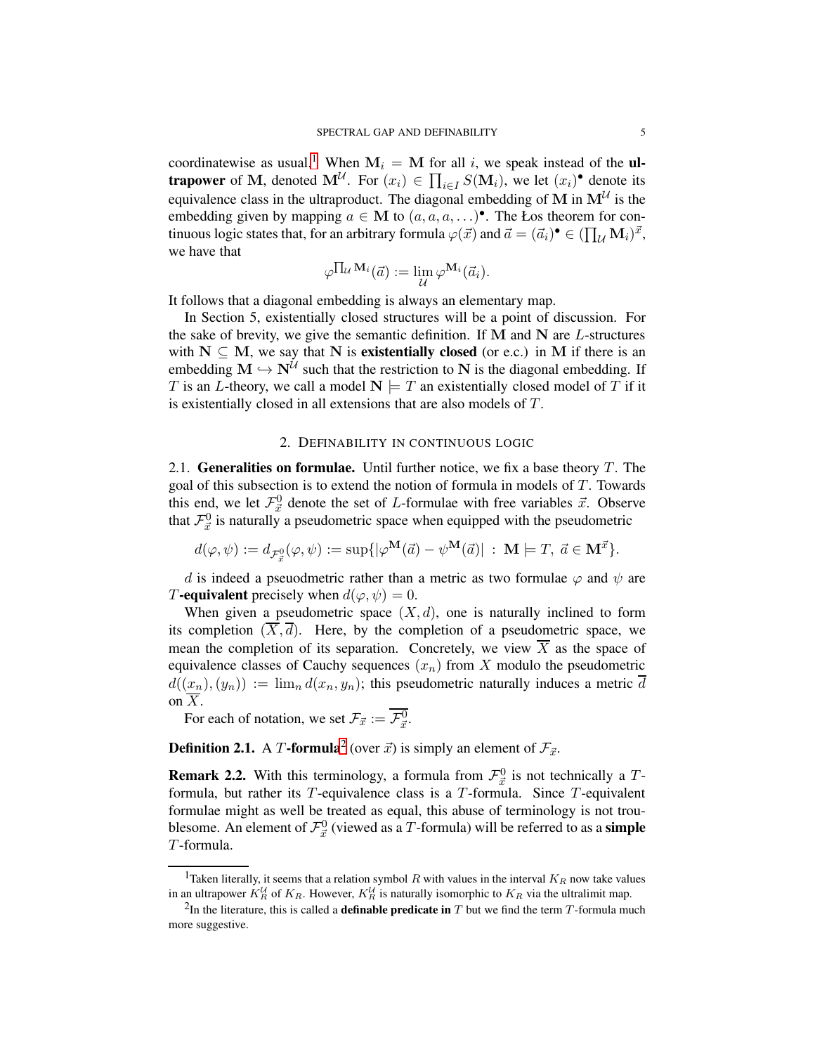coordinatewise as usual.<sup>[1](#page-4-2)</sup> When  $M_i = M$  for all i, we speak instead of the **ultrapower** of M, denoted  $M^{\mathcal{U}}$ . For  $(x_i) \in \prod_{i \in I} S(M_i)$ , we let  $(x_i)$ <sup>•</sup> denote its equivalence class in the ultraproduct. The diagonal embedding of M in  $M^{\mathcal{U}}$  is the embedding given by mapping  $a \in M$  to  $(a, a, a, \ldots)$ <sup>o</sup>. The Łos theorem for continuous logic states that, for an arbitrary formula  $\varphi(\vec{x})$  and  $\vec{a} = (\vec{a}_i)^{\bullet} \in (\prod_{\mathcal{U}} \mathbf{M}_i)^{\vec{x}}$ , we have that

$$
\varphi^{\prod_{\mathcal{U}} \mathbf{M}_i}(\vec{a}) := \lim_{\mathcal{U}} \varphi^{\mathbf{M}_i}(\vec{a}_i).
$$

It follows that a diagonal embedding is always an elementary map.

In Section 5, existentially closed structures will be a point of discussion. For the sake of brevity, we give the semantic definition. If  $M$  and  $N$  are  $L$ -structures with  $N \subseteq M$ , we say that N is **existentially closed** (or e.c.) in M if there is an embedding  $M \hookrightarrow N^{\mathcal{U}}$  such that the restriction to N is the diagonal embedding. If T is an L-theory, we call a model  $N \models T$  an existentially closed model of T if it is existentially closed in all extensions that are also models of T.

## 2. DEFINABILITY IN CONTINUOUS LOGIC

<span id="page-4-1"></span><span id="page-4-0"></span>2.1. Generalities on formulae. Until further notice, we fix a base theory  $T$ . The goal of this subsection is to extend the notion of formula in models of T. Towards this end, we let  $\mathcal{F}_{\vec{x}}^0$  denote the set of *L*-formulae with free variables  $\vec{x}$ . Observe that  $\mathcal{F}_{\vec{x}}^0$  is naturally a pseudometric space when equipped with the pseudometric

$$
d(\varphi,\psi):=d_{\mathcal{F}_{\vec{x}}^0}(\varphi,\psi):=\sup\{|\varphi^{\mathbf{M}}(\vec{a})-\psi^{\mathbf{M}}(\vec{a})|\;:\;\mathbf{M}\models T,\;\vec{a}\in\mathbf{M}^{\vec{x}}\}.
$$

d is indeed a pseuodmetric rather than a metric as two formulae  $\varphi$  and  $\psi$  are T-equivalent precisely when  $d(\varphi, \psi) = 0$ .

When given a pseudometric space  $(X, d)$ , one is naturally inclined to form its completion  $(\overline{X}, \overline{d})$ . Here, by the completion of a pseudometric space, we mean the completion of its separation. Concretely, we view  $\overline{X}$  as the space of equivalence classes of Cauchy sequences  $(x_n)$  from X modulo the pseudometric  $d((x_n),(y_n)) := \lim_{n} d(x_n, y_n)$ ; this pseudometric naturally induces a metric  $\overline{d}$ on  $\overline{X}$ .

For each of notation, we set  $\mathcal{F}_{\vec{x}} := \mathcal{F}_{\vec{x}}^0$ .

**Definition [2](#page-4-3).1.** A T-formula<sup>2</sup> (over  $\vec{x}$ ) is simply an element of  $\mathcal{F}_{\vec{x}}$ .

**Remark 2.2.** With this terminology, a formula from  $\mathcal{F}_{\vec{x}}^0$  is not technically a Tformula, but rather its  $T$ -equivalence class is a  $T$ -formula. Since  $T$ -equivalent formulae might as well be treated as equal, this abuse of terminology is not troublesome. An element of  $\mathcal{F}_{\vec{x}}^0$  (viewed as a T-formula) will be referred to as a **simple** T-formula.

<span id="page-4-2"></span><sup>&</sup>lt;sup>1</sup>Taken literally, it seems that a relation symbol R with values in the interval  $K_R$  now take values in an ultrapower  $K_R^{\mathcal{U}}$  of  $K_R$ . However,  $K_R^{\mathcal{U}}$  is naturally isomorphic to  $K_R$  via the ultralimit map.

<span id="page-4-3"></span><sup>&</sup>lt;sup>2</sup>In the literature, this is called a **definable predicate in** T but we find the term T-formula much more suggestive.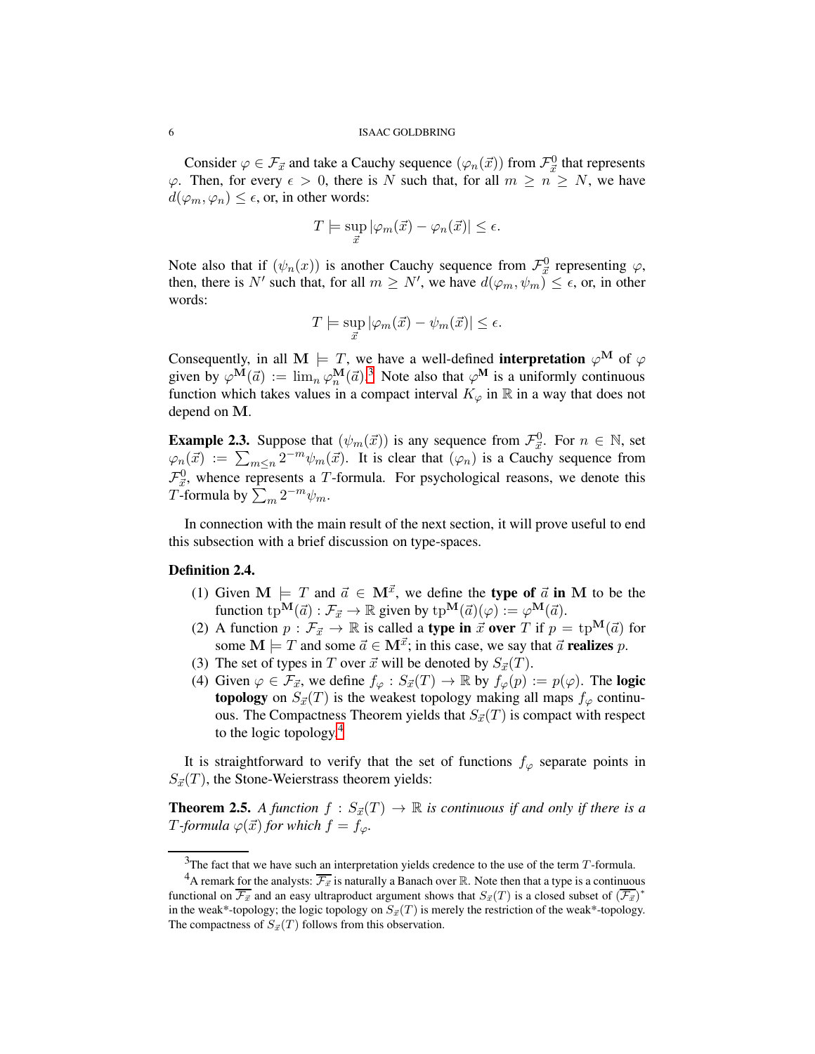Consider  $\varphi \in \mathcal{F}_{\vec{x}}$  and take a Cauchy sequence  $(\varphi_n(\vec{x}))$  from  $\mathcal{F}_{\vec{x}}^0$  that represents  $\varphi$ . Then, for every  $\epsilon > 0$ , there is N such that, for all  $m \ge n \ge N$ , we have  $d(\varphi_m, \varphi_n) \leq \epsilon$ , or, in other words:

$$
T \models \sup_{\vec{x}} |\varphi_m(\vec{x}) - \varphi_n(\vec{x})| \le \epsilon.
$$

Note also that if  $(\psi_n(x))$  is another Cauchy sequence from  $\mathcal{F}^0_{\vec{x}}$  representing  $\varphi$ , then, there is N' such that, for all  $m \geq N'$ , we have  $d(\varphi_m, \psi_m) \leq \epsilon$ , or, in other words:

$$
T \models \sup_{\vec{x}} |\varphi_m(\vec{x}) - \psi_m(\vec{x})| \le \epsilon.
$$

Consequently, in all M  $\models T$ , we have a well-defined **interpretation**  $\varphi^{\mathbf{M}}$  of  $\varphi$ given by  $\varphi^{\mathbf{M}}(\vec{a}) := \lim_{n} \varphi^{\mathbf{M}}_n(\vec{a})^3$  $\varphi^{\mathbf{M}}(\vec{a}) := \lim_{n} \varphi^{\mathbf{M}}_n(\vec{a})^3$ . Note also that  $\varphi^{\mathbf{M}}$  is a uniformly continuous function which takes values in a compact interval  $K_{\varphi}$  in  $\mathbb R$  in a way that does not depend on M.

**Example 2.3.** Suppose that  $(\psi_m(\vec{x}))$  is any sequence from  $\mathcal{F}_{\vec{x}}^0$ . For  $n \in \mathbb{N}$ , set  $\varphi_n(\vec{x}) := \sum_{m \leq n} 2^{-m} \psi_m(\vec{x})$ . It is clear that  $(\varphi_n)$  is a Cauchy sequence from  $\mathcal{F}_{\vec{x}}^0$ , whence represents a T-formula. For psychological reasons, we denote this T-formula by  $\sum_m 2^{-m} \psi_m$ .

In connection with the main result of the next section, it will prove useful to end this subsection with a brief discussion on type-spaces.

# Definition 2.4.

- (1) Given  $\mathbf{M} \models T$  and  $\vec{a} \in \mathbf{M}^{\vec{x}}$ , we define the type of  $\vec{a}$  in M to be the function  $tp^{\mathbf{M}}(\vec{a}) : \mathcal{F}_{\vec{x}} \to \mathbb{R}$  given by  $tp^{\mathbf{M}}(\vec{a})(\varphi) := \varphi^{\mathbf{M}}(\vec{a})$ .
- (2) A function  $p : \mathcal{F}_{\vec{x}} \to \mathbb{R}$  is called a **type in**  $\vec{x}$  **over** T if  $p = tp^{\mathbf{M}}(\vec{a})$  for some  $M \models T$  and some  $\vec{a} \in M^{\vec{x}}$ ; in this case, we say that  $\vec{a}$  realizes p.
- (3) The set of types in T over  $\vec{x}$  will be denoted by  $S_{\vec{x}}(T)$ .
- (4) Given  $\varphi \in \mathcal{F}_{\vec{x}}$ , we define  $f_{\varphi}: S_{\vec{x}}(T) \to \mathbb{R}$  by  $f_{\varphi}(p) := p(\varphi)$ . The logic topology on  $S_{\vec{x}}(T)$  is the weakest topology making all maps  $f_{\varphi}$  continuous. The Compactness Theorem yields that  $S_{\vec{x}}(T)$  is compact with respect to the logic topology. $4$

It is straightforward to verify that the set of functions  $f_{\varphi}$  separate points in  $S_{\vec{x}}(T)$ , the Stone-Weierstrass theorem yields:

<span id="page-5-2"></span>**Theorem 2.5.** A function  $f : S_{\vec{x}}(T) \to \mathbb{R}$  is continuous if and only if there is a *T*-formula  $\varphi(\vec{x})$  for which  $f = f_{\varphi}$ .

<span id="page-5-0"></span> $3$ The fact that we have such an interpretation yields credence to the use of the term  $T$ -formula.

<span id="page-5-1"></span><sup>&</sup>lt;sup>4</sup>A remark for the analysts:  $\overline{\mathcal{F}_{\vec{x}}}$  is naturally a Banach over R. Note then that a type is a continuous functional on  $\overline{\mathcal{F}_{\vec{x}}}$  and an easy ultraproduct argument shows that  $S_{\vec{x}}(T)$  is a closed subset of  $(\overline{\mathcal{F}_{\vec{x}}})^*$ in the weak\*-topology; the logic topology on  $S_{\vec{x}}(T)$  is merely the restriction of the weak\*-topology. The compactness of  $S_{\vec{x}}(T)$  follows from this observation.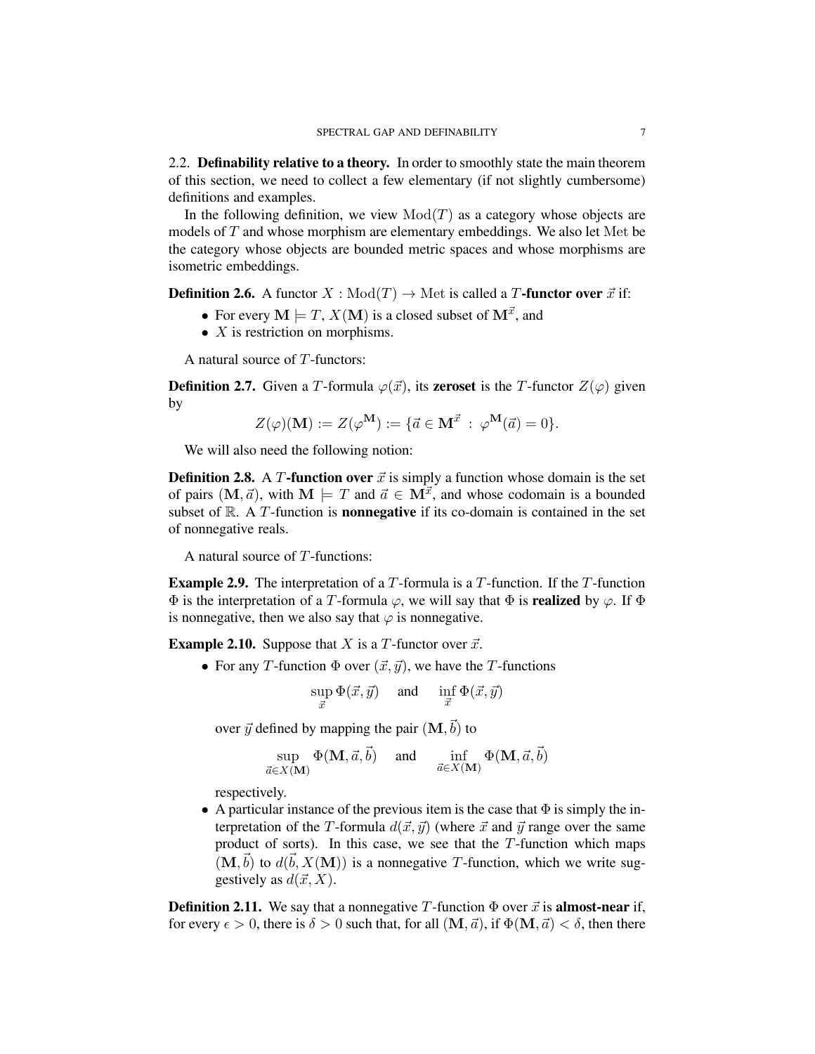<span id="page-6-0"></span>2.2. Definability relative to a theory. In order to smoothly state the main theorem of this section, we need to collect a few elementary (if not slightly cumbersome) definitions and examples.

In the following definition, we view  $Mod(T)$  as a category whose objects are models of T and whose morphism are elementary embeddings. We also let Met be the category whose objects are bounded metric spaces and whose morphisms are isometric embeddings.

**Definition 2.6.** A functor  $X : Mod(T) \to Met$  is called a T-functor over  $\vec{x}$  if:

- For every  $M \models T$ ,  $X(M)$  is a closed subset of  $M^{\vec{x}}$ , and
- $X$  is restriction on morphisms.

A natural source of  $T$ -functors:

**Definition 2.7.** Given a T-formula  $\varphi(\vec{x})$ , its **zeroset** is the T-functor  $Z(\varphi)$  given by

$$
Z(\varphi)(\mathbf{M}):=Z(\varphi^{\mathbf{M}}):=\{\vec{a}\in\mathbf{M}^{\vec{x}}\;:\;\varphi^{\mathbf{M}}(\vec{a})=0\}.
$$

We will also need the following notion:

**Definition 2.8.** A T-function over  $\vec{x}$  is simply a function whose domain is the set of pairs  $(M, \vec{a})$ , with  $M \models T$  and  $\vec{a} \in M^{\vec{x}}$ , and whose codomain is a bounded subset of  $\mathbb{R}$ . A T-function is **nonnegative** if its co-domain is contained in the set of nonnegative reals.

A natural source of  $T$ -functions:

**Example 2.9.** The interpretation of a  $T$ -formula is a  $T$ -function. If the  $T$ -function  $\Phi$  is the interpretation of a T-formula  $\varphi$ , we will say that  $\Phi$  is **realized** by  $\varphi$ . If  $\Phi$ is nonnegative, then we also say that  $\varphi$  is nonnegative.

**Example 2.10.** Suppose that X is a T-functor over  $\vec{x}$ .

• For any T-function  $\Phi$  over  $(\vec{x}, \vec{y})$ , we have the T-functions

$$
\sup_{\vec{x}} \Phi(\vec{x}, \vec{y}) \quad \text{and} \quad \inf_{\vec{x}} \Phi(\vec{x}, \vec{y})
$$

over  $\vec{y}$  defined by mapping the pair  $({\bf M}, \vec{b})$  to

$$
\sup_{\vec{a}\in X(\mathbf{M})} \Phi(\mathbf{M}, \vec{a}, \vec{b}) \quad \text{ and } \quad \inf_{\vec{a}\in X(\mathbf{M})} \Phi(\mathbf{M}, \vec{a}, \vec{b})
$$

respectively.

• A particular instance of the previous item is the case that  $\Phi$  is simply the interpretation of the T-formula  $d(\vec{x}, \vec{y})$  (where  $\vec{x}$  and  $\vec{y}$  range over the same product of sorts). In this case, we see that the  $T$ -function which maps  $(M, \vec{b})$  to  $d(\vec{b}, X(M))$  is a nonnegative T-function, which we write suggestively as  $d(\vec{x}, X)$ .

**Definition 2.11.** We say that a nonnegative T-function  $\Phi$  over  $\vec{x}$  is **almost-near** if, for every  $\epsilon > 0$ , there is  $\delta > 0$  such that, for all  $(M, \vec{a})$ , if  $\Phi(M, \vec{a}) < \delta$ , then there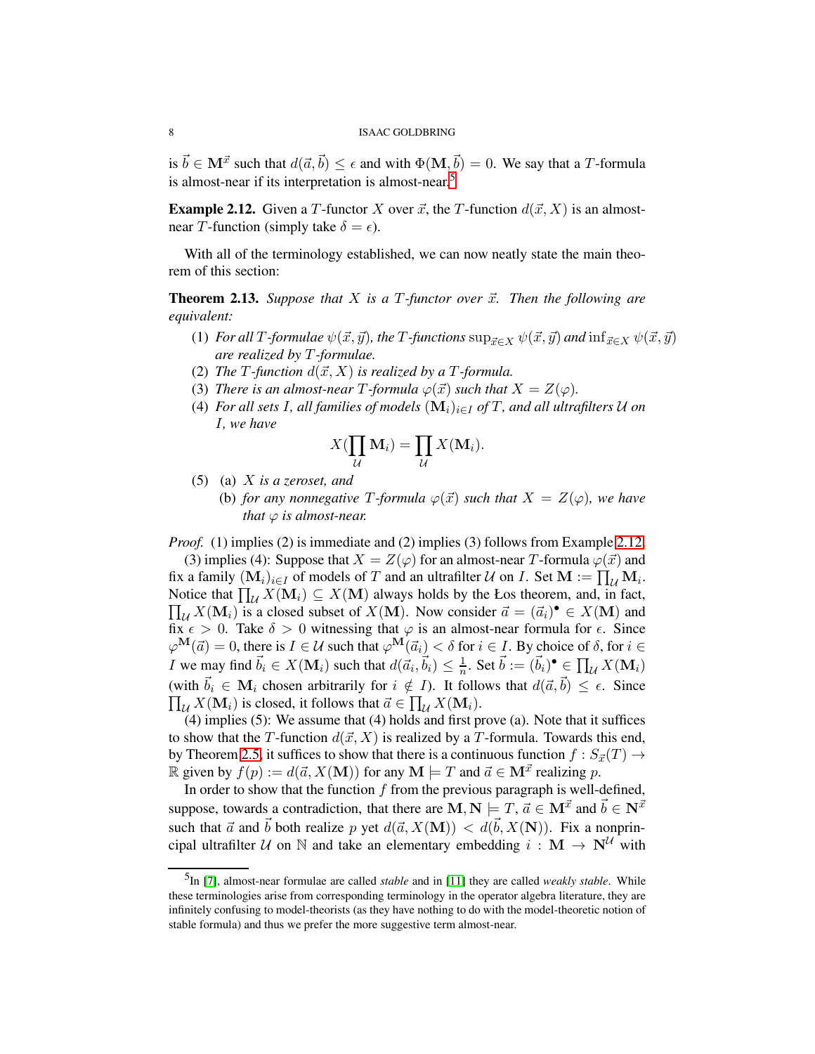is  $\vec{b} \in \mathbf{M}^{\vec{x}}$  such that  $d(\vec{a}, \vec{b}) \le \epsilon$  and with  $\Phi(\mathbf{M}, \vec{b}) = 0$ . We say that a T-formula is almost-near if its interpretation is almost-near.<sup>[5](#page-7-0)</sup>

<span id="page-7-1"></span>**Example 2.12.** Given a T-functor X over  $\vec{x}$ , the T-function  $d(\vec{x}, X)$  is an almostnear T-function (simply take  $\delta = \epsilon$ ).

With all of the terminology established, we can now neatly state the main theorem of this section:

<span id="page-7-2"></span>**Theorem 2.13.** Suppose that  $X$  is a  $T$ -functor over  $\vec{x}$ . Then the following are *equivalent:*

- (1) *For all* T*-formulae*  $\psi(\vec{x}, \vec{y})$ *, the* T*-functions*  $\sup_{\vec{x}\in X} \psi(\vec{x}, \vec{y})$  *and*  $\inf_{\vec{x}\in X} \psi(\vec{x}, \vec{y})$ *are realized by* T*-formulae.*
- (2) *The*  $T$ *-function*  $d(\vec{x}, X)$  *is realized by a*  $T$ *-formula.*
- (3) *There is an almost-near T*-formula  $\varphi(\vec{x})$  *such that*  $X = Z(\varphi)$ *.*
- (4) *For all sets I*, *all families of models*  $(M_i)_{i \in I}$  *of T*, *and all ultrafilters U on* I*, we have*

$$
X(\prod_{\mathcal{U}} \mathbf{M}_i) = \prod_{\mathcal{U}} X(\mathbf{M}_i).
$$

- (5) (a) X *is a zeroset, and*
	- (b) *for any nonnegative* T-formula  $\varphi(\vec{x})$  *such that*  $X = Z(\varphi)$ *, we have that*  $\varphi$  *is almost-near.*

*Proof.* (1) implies (2) is immediate and (2) implies (3) follows from Example [2.12.](#page-7-1)

(3) implies (4): Suppose that  $X = Z(\varphi)$  for an almost-near T-formula  $\varphi(\vec{x})$  and fix a family  $(M_i)_{i\in I}$  of models of T and an ultrafilter U on I. Set  $M := \prod_{\mathcal{U}} M_i$ . Notice that  $\prod_{\mathcal{U}} X(\mathbf{M}_i) \subseteq X(\mathbf{M})$  always holds by the Łos theorem, and, in fact,  $\prod_{\mathcal{U}} X(\mathbf{M}_i)$  is a closed subset of  $X(\mathbf{M})$ . Now consider  $\vec{a} = (\vec{a}_i)^{\bullet} \in X(\mathbf{M})$  and fix  $\epsilon > 0$ . Take  $\delta > 0$  witnessing that  $\varphi$  is an almost-near formula for  $\epsilon$ . Since  $\varphi^{\mathbf{M}}(\vec{a}) = 0$ , there is  $I \in \mathcal{U}$  such that  $\varphi^{\mathbf{M}}(\vec{a}_i) < \delta$  for  $i \in I$ . By choice of  $\delta$ , for  $i \in I$ *I* we may find  $\vec{b}_i \in X(\mathbf{M}_i)$  such that  $d(\vec{a}_i, \vec{b}_i) \leq \frac{1}{n}$ . Set  $\vec{b} := (\vec{b}_i)^{\bullet} \in \prod_{\mathcal{U}} X(\mathbf{M}_i)$ (with  $\vec{b}_i \in \mathbf{M}_i$  chosen arbitrarily for  $i \notin I$ ). It follows that  $d(\vec{a}, \vec{b}) \le \epsilon$ . Since  $\prod_i X(\mathbf{M}_i)$  is closed, it follows that  $\vec{a} \in \prod_i X(\mathbf{M}_i)$ .  $\mathcal{U} X(\mathbf{M}_i)$  is closed, it follows that  $\vec{a} \in \prod_{\mathcal{U}} X(\mathbf{M}_i)$ .

(4) implies (5): We assume that (4) holds and first prove (a). Note that it suffices to show that the T-function  $d(\vec{x}, X)$  is realized by a T-formula. Towards this end, by Theorem [2.5,](#page-5-2) it suffices to show that there is a continuous function  $f : S_{\vec{x}}(T) \to$ R given by  $f(p) := d(\vec{a}, X(\mathbf{M}))$  for any  $\mathbf{M} \models T$  and  $\vec{a} \in \mathbf{M}^{\vec{x}}$  realizing p.

In order to show that the function  $f$  from the previous paragraph is well-defined, suppose, towards a contradiction, that there are  $\mathbf{M}, \mathbf{N} \models T, \vec{a} \in \mathbf{M}^{\vec{x}}$  and  $\vec{b} \in \mathbf{N}^{\vec{x}}$ such that  $\vec{a}$  and  $\vec{b}$  both realize p yet  $d(\vec{a}, X(\mathbf{M})) < d(\vec{b}, X(\mathbf{N}))$ . Fix a nonprincipal ultrafilter U on N and take an elementary embedding  $i : M \rightarrow N^{\mathcal{U}}$  with

<span id="page-7-0"></span><sup>5</sup> In [\[7\]](#page-28-4), almost-near formulae are called *stable* and in [\[11\]](#page-28-2) they are called *weakly stable*. While these terminologies arise from corresponding terminology in the operator algebra literature, they are infinitely confusing to model-theorists (as they have nothing to do with the model-theoretic notion of stable formula) and thus we prefer the more suggestive term almost-near.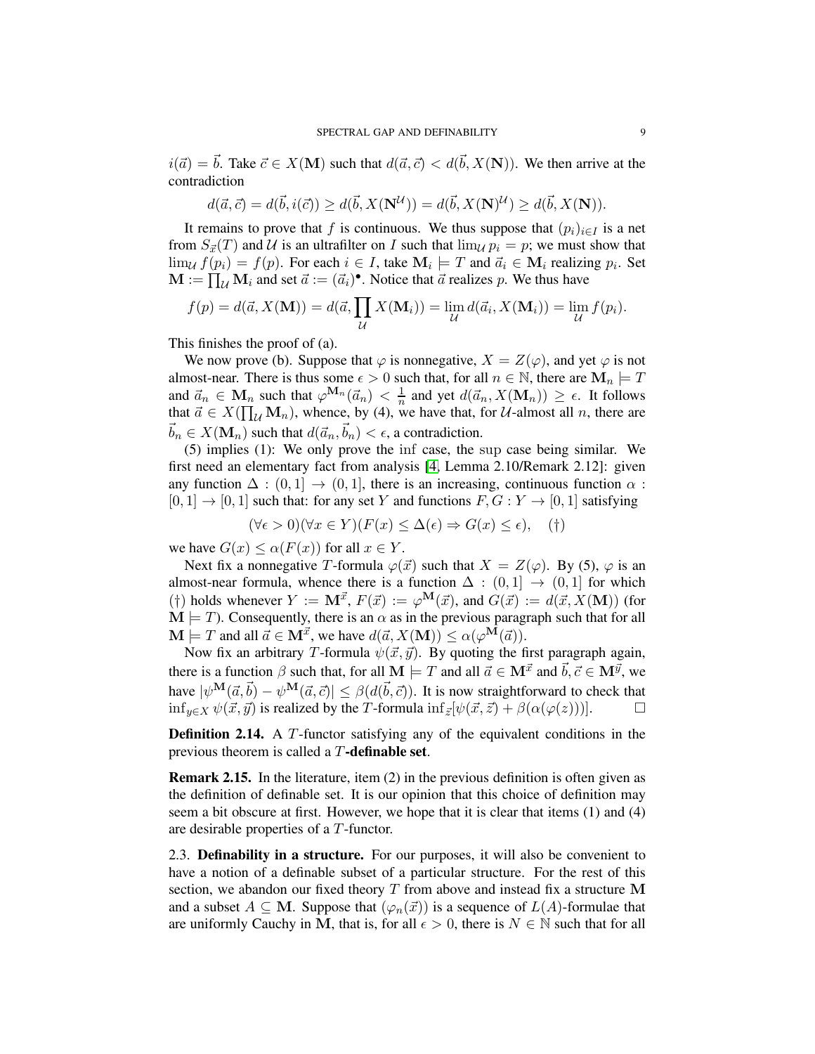$i(\vec{a}) = \vec{b}$ . Take  $\vec{c} \in X(\bf{M})$  such that  $d(\vec{a}, \vec{c}) < d(\vec{b}, X(\bf{N}))$ . We then arrive at the contradiction

$$
d(\vec{a}, \vec{c}) = d(\vec{b}, i(\vec{c})) \ge d(\vec{b}, X(\mathbf{N}^{\mathcal{U}})) = d(\vec{b}, X(\mathbf{N})^{\mathcal{U}}) \ge d(\vec{b}, X(\mathbf{N})).
$$

It remains to prove that f is continuous. We thus suppose that  $(p_i)_{i \in I}$  is a net from  $S_{\vec{x}}(T)$  and U is an ultrafilter on I such that  $\lim_{U} p_i = p$ ; we must show that  $\lim_{U} f(p_i) = f(p)$ . For each  $i \in I$ , take  $\mathbf{M}_i \models T$  and  $\vec{a}_i \in \mathbf{M}_i$  realizing  $p_i$ . Set  $\mathbf{M} := \prod_{\mathcal{U}} \mathbf{M}_i$  and set  $\vec{a} := (\vec{a}_i)^{\bullet}$ . Notice that  $\vec{a}$  realizes p. We thus have

$$
f(p) = d(\vec{a}, X(\mathbf{M})) = d(\vec{a}, \prod_{\mathcal{U}} X(\mathbf{M}_i)) = \lim_{\mathcal{U}} d(\vec{a}_i, X(\mathbf{M}_i)) = \lim_{\mathcal{U}} f(p_i).
$$

This finishes the proof of (a).

We now prove (b). Suppose that  $\varphi$  is nonnegative,  $X = Z(\varphi)$ , and yet  $\varphi$  is not almost-near. There is thus some  $\epsilon > 0$  such that, for all  $n \in \mathbb{N}$ , there are  $\mathbf{M}_n \models T$ and  $\vec{a}_n \in \mathbf{M}_n$  such that  $\varphi^{\mathbf{M}_n}(\vec{a}_n) < \frac{1}{n}$  and yet  $d(\vec{a}_n, X(\mathbf{M}_n)) \geq \epsilon$ . It follows that  $\vec{a} \in X(\prod_{\mathcal{U}} \mathbf{M}_n)$ , whence, by (4), we have that, for U-almost all n, there are  $\vec{b}_n \in X(\mathbf{M}_n)$  such that  $d(\vec{a}_n, \vec{b}_n) < \epsilon$ , a contradiction.

(5) implies (1): We only prove the inf case, the sup case being similar. We first need an elementary fact from analysis [\[4,](#page-28-5) Lemma 2.10/Remark 2.12]: given any function  $\Delta : (0,1] \rightarrow (0,1]$ , there is an increasing, continuous function  $\alpha$ :  $[0, 1] \rightarrow [0, 1]$  such that: for any set Y and functions  $F, G: Y \rightarrow [0, 1]$  satisfying

$$
(\forall \epsilon > 0)(\forall x \in Y)(F(x) \le \Delta(\epsilon) \Rightarrow G(x) \le \epsilon), \quad (\dagger)
$$

we have  $G(x) \leq \alpha(F(x))$  for all  $x \in Y$ .

Next fix a nonnegative T-formula  $\varphi(\vec{x})$  such that  $X = Z(\varphi)$ . By (5),  $\varphi$  is an almost-near formula, whence there is a function  $\Delta : (0,1] \rightarrow (0,1]$  for which (†) holds whenever  $Y := \mathbf{M}^{\vec{x}}$ ,  $F(\vec{x}) := \varphi^{\mathbf{M}}(\vec{x})$ , and  $G(\vec{x}) := d(\vec{x}, X(\mathbf{M}))$  (for  $\mathbf{M} \models T$ ). Consequently, there is an  $\alpha$  as in the previous paragraph such that for all  $\mathbf{M} \models T$  and all  $\vec{a} \in \mathbf{M}^{\vec{x}}$ , we have  $d(\vec{a}, X(\mathbf{M})) \leq \alpha(\varphi^{\mathbf{M}}(\vec{a})).$ 

Now fix an arbitrary T-formula  $\psi(\vec{x}, \vec{y})$ . By quoting the first paragraph again, there is a function  $\beta$  such that, for all  $\mathbf{M} \models T$  and all  $\vec{a} \in \mathbf{M}^{\vec{x}}$  and  $\vec{b}, \vec{c} \in \mathbf{M}^{\vec{y}}$ , we have  $|\psi^{\mathbf{M}}(\vec{a}, \vec{b}) - \psi^{\mathbf{M}}(\vec{a}, \vec{c})| \leq \beta(d(\vec{b}, \vec{c}))$ . It is now straightforward to check that inf<sub>*u*∈X</sub>  $\psi(\vec{x}, \vec{y})$  is realized by the T-formula inf<sub>z</sub>[ $\psi(\vec{x}, \vec{z}) + \beta(\alpha(\varphi(z)))$ ].  $\Box$ 

Definition 2.14. A T-functor satisfying any of the equivalent conditions in the previous theorem is called a  $T$ -definable set.

Remark 2.15. In the literature, item (2) in the previous definition is often given as the definition of definable set. It is our opinion that this choice of definition may seem a bit obscure at first. However, we hope that it is clear that items (1) and (4) are desirable properties of a T-functor.

<span id="page-8-0"></span>2.3. Definability in a structure. For our purposes, it will also be convenient to have a notion of a definable subset of a particular structure. For the rest of this section, we abandon our fixed theory  $T$  from above and instead fix a structure M and a subset  $A \subseteq M$ . Suppose that  $(\varphi_n(\vec{x}))$  is a sequence of  $L(A)$ -formulae that are uniformly Cauchy in M, that is, for all  $\epsilon > 0$ , there is  $N \in \mathbb{N}$  such that for all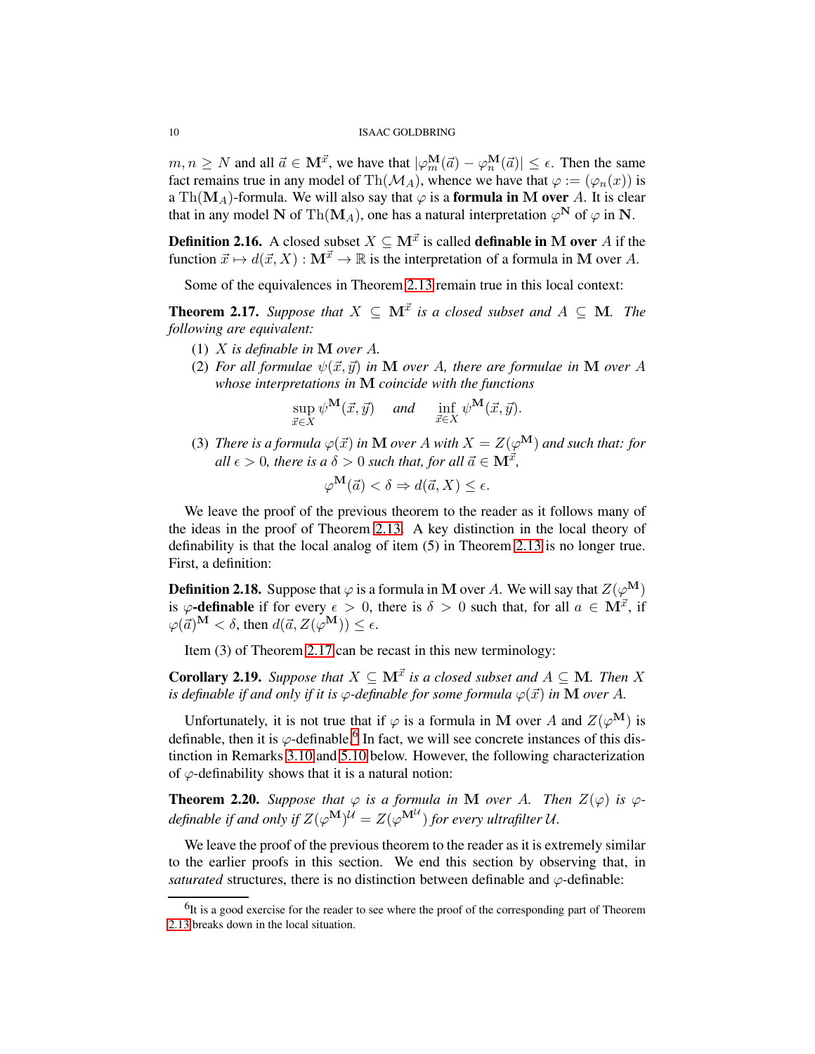$m, n \ge N$  and all  $\vec{a} \in M^{\vec{x}}$ , we have that  $|\varphi_m^{\mathbf{M}}(\vec{a}) - \varphi_n^{\mathbf{M}}(\vec{a})| \le \epsilon$ . Then the same fact remains true in any model of Th( $\mathcal{M}_A$ ), whence we have that  $\varphi := (\varphi_n(x))$  is a Th( $M_A$ )-formula. We will also say that  $\varphi$  is a **formula in M over** A. It is clear that in any model N of Th(M<sub>A</sub>), one has a natural interpretation  $\varphi^N$  of  $\varphi$  in N.

**Definition 2.16.** A closed subset  $X \subseteq \mathbf{M}^{\vec{x}}$  is called **definable in** M over A if the function  $\vec{x} \mapsto d(\vec{x}, X) : \mathbf{M}^{\vec{x}} \to \mathbb{R}$  is the interpretation of a formula in M over A.

Some of the equivalences in Theorem [2.13](#page-7-2) remain true in this local context:

<span id="page-9-0"></span>**Theorem 2.17.** *Suppose that*  $X \subseteq \mathbb{M}^{\vec{x}}$  *is a closed subset and*  $A \subseteq \mathbb{M}$ *. The following are equivalent:*

- (1) X *is definable in* M *over* A*.*
- (2) *For all formulae*  $\psi(\vec{x}, \vec{y})$  *in* **M** *over* A, there are formulae in **M** *over* A *whose interpretations in* M *coincide with the functions*

$$
\sup_{\vec{x}\in X}\psi^{\mathbf{M}}(\vec{x},\vec{y}) \quad \text{and} \quad \inf_{\vec{x}\in X}\psi^{\mathbf{M}}(\vec{x},\vec{y}).
$$

(3) *There is a formula*  $\varphi(\vec{x})$  *in* **M** *over* A *with*  $X = Z(\varphi^{\mathbf{M}})$  *and such that: for all*  $\epsilon > 0$ , there is a  $\delta > 0$  such that, for all  $\vec{a} \in M^{\vec{x}}$ ,

$$
\varphi^{\bf M}(\vec{a}) < \delta \Rightarrow d(\vec{a},X) \leq \epsilon.
$$

We leave the proof of the previous theorem to the reader as it follows many of the ideas in the proof of Theorem [2.13.](#page-7-2) A key distinction in the local theory of definability is that the local analog of item (5) in Theorem [2.13](#page-7-2) is no longer true. First, a definition:

**Definition 2.18.** Suppose that  $\varphi$  is a formula in M over A. We will say that  $Z(\varphi^{\mathbf{M}})$ is  $\varphi$ -definable if for every  $\epsilon > 0$ , there is  $\delta > 0$  such that, for all  $a \in M^{\vec{x}}$ , if  $\varphi(\vec{a})^{\mathbf{M}} < \delta$ , then  $d(\vec{a}, Z(\varphi^{\mathbf{M}})) \leq \epsilon$ .

Item (3) of Theorem [2.17](#page-9-0) can be recast in this new terminology:

**Corollary 2.19.** *Suppose that*  $X \subseteq \mathbf{M}^{\vec{x}}$  *is a closed subset and*  $A \subseteq \mathbf{M}$ *. Then* X *is definable if and only if it is*  $\varphi$ -*definable for some formula*  $\varphi(\vec{x})$  *in* **M** *over* A.

Unfortunately, it is not true that if  $\varphi$  is a formula in M over A and  $Z(\varphi^{\bf M})$  is definable, then it is  $\varphi$ -definable.<sup>[6](#page-9-1)</sup> In fact, we will see concrete instances of this distinction in Remarks [3.10](#page-12-1) and [5.10](#page-21-1) below. However, the following characterization of  $\varphi$ -definability shows that it is a natural notion:

<span id="page-9-2"></span>**Theorem 2.20.** Suppose that  $\varphi$  is a formula in M over A. Then  $Z(\varphi)$  is  $\varphi$ *definable if and only if*  $Z(\varphi^{\mathbf{M}})^{\mathcal{U}} = Z(\varphi^{\mathbf{M}^{\mathcal{U}}})$  for every ultrafilter U.

We leave the proof of the previous theorem to the reader as it is extremely similar to the earlier proofs in this section. We end this section by observing that, in *saturated* structures, there is no distinction between definable and  $\varphi$ -definable:

<span id="page-9-1"></span> $<sup>6</sup>$ It is a good exercise for the reader to see where the proof of the corresponding part of Theorem</sup> [2.13](#page-7-2) breaks down in the local situation.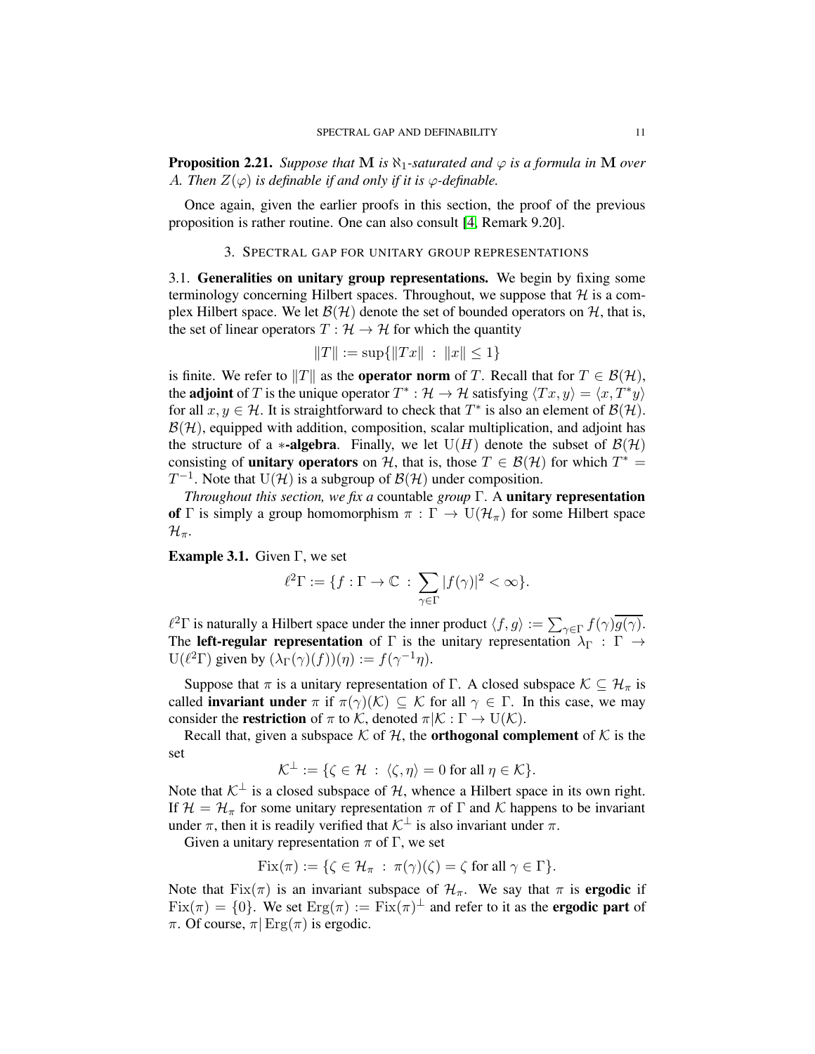<span id="page-10-2"></span>**Proposition 2.21.** *Suppose that* **M** *is*  $\aleph_1$ *-saturated and*  $\varphi$  *is a formula in* **M** *over* A. Then  $Z(\varphi)$  *is definable if and only if it is*  $\varphi$ -definable.

<span id="page-10-0"></span>Once again, given the earlier proofs in this section, the proof of the previous proposition is rather routine. One can also consult [\[4,](#page-28-5) Remark 9.20].

### 3. SPECTRAL GAP FOR UNITARY GROUP REPRESENTATIONS

<span id="page-10-1"></span>3.1. Generalities on unitary group representations. We begin by fixing some terminology concerning Hilbert spaces. Throughout, we suppose that  $H$  is a complex Hilbert space. We let  $\mathcal{B}(\mathcal{H})$  denote the set of bounded operators on  $\mathcal{H}$ , that is, the set of linear operators  $T : \mathcal{H} \to \mathcal{H}$  for which the quantity

$$
||T|| := \sup{||Tx|| : ||x|| \le 1}
$$

is finite. We refer to  $||T||$  as the **operator norm** of T. Recall that for  $T \in \mathcal{B}(\mathcal{H})$ , the **adjoint** of T is the unique operator  $T^* : \mathcal{H} \to \mathcal{H}$  satisfying  $\langle Tx, y \rangle = \langle x, T^*y \rangle$ for all  $x, y \in \mathcal{H}$ . It is straightforward to check that  $T^*$  is also an element of  $\mathcal{B}(\mathcal{H})$ .  $\mathcal{B}(\mathcal{H})$ , equipped with addition, composition, scalar multiplication, and adjoint has the structure of a ∗-algebra. Finally, we let  $U(H)$  denote the subset of  $\mathcal{B}(\mathcal{H})$ consisting of **unitary operators** on H, that is, those  $T \in \mathcal{B}(\mathcal{H})$  for which  $T^* =$  $T^{-1}$ . Note that  $U(\mathcal{H})$  is a subgroup of  $\mathcal{B}(\mathcal{H})$  under composition.

*Throughout this section, we fix a* countable *group* Γ. A unitary representation of Γ is simply a group homomorphism  $\pi : \Gamma \to U(\mathcal{H}_{\pi})$  for some Hilbert space  $\mathcal{H}_{\pi}$ .

**Example 3.1.** Given  $\Gamma$ , we set

$$
\ell^2 \Gamma := \{ f : \Gamma \to \mathbb{C} \, : \, \sum_{\gamma \in \Gamma} |f(\gamma)|^2 < \infty \}.
$$

 $\ell^2 \Gamma$  is naturally a Hilbert space under the inner product  $\langle f, g \rangle := \sum_{\gamma \in \Gamma} f(\gamma) \overline{g(\gamma)}$ . The left-regular representation of Γ is the unitary representation  $\lambda_{\Gamma} : \Gamma \rightarrow$ U( $\ell^2 \Gamma$ ) given by  $(\lambda_{\Gamma}(\gamma)(f))(\eta) := f(\gamma^{-1}\eta)$ .

Suppose that  $\pi$  is a unitary representation of Γ. A closed subspace  $\mathcal{K} \subseteq \mathcal{H}_{\pi}$  is called **invariant under**  $\pi$  if  $\pi(\gamma)(\mathcal{K}) \subseteq \mathcal{K}$  for all  $\gamma \in \Gamma$ . In this case, we may consider the **restriction** of  $\pi$  to K, denoted  $\pi | K : \Gamma \to U(K)$ .

Recall that, given a subspace  $K$  of  $H$ , the **orthogonal complement** of  $K$  is the set

$$
\mathcal{K}^{\perp} := \{ \zeta \in \mathcal{H} \; : \; \langle \zeta, \eta \rangle = 0 \text{ for all } \eta \in \mathcal{K} \}.
$$

Note that  $K^{\perp}$  is a closed subspace of H, whence a Hilbert space in its own right. If  $\mathcal{H} = \mathcal{H}_{\pi}$  for some unitary representation  $\pi$  of  $\Gamma$  and  $\mathcal{K}$  happens to be invariant under  $\pi$ , then it is readily verified that  $\mathcal{K}^{\perp}$  is also invariant under  $\pi$ .

Given a unitary representation  $\pi$  of  $\Gamma$ , we set

$$
\text{Fix}(\pi) := \{ \zeta \in \mathcal{H}_{\pi} \; : \; \pi(\gamma)(\zeta) = \zeta \text{ for all } \gamma \in \Gamma \}.
$$

Note that Fix( $\pi$ ) is an invariant subspace of  $\mathcal{H}_{\pi}$ . We say that  $\pi$  is **ergodic** if  $Fix(\pi) = \{0\}$ . We set  $Erg(\pi) := Fix(\pi)^{\perp}$  and refer to it as the **ergodic part** of  $\pi$ . Of course,  $\pi$ | Erg( $\pi$ ) is ergodic.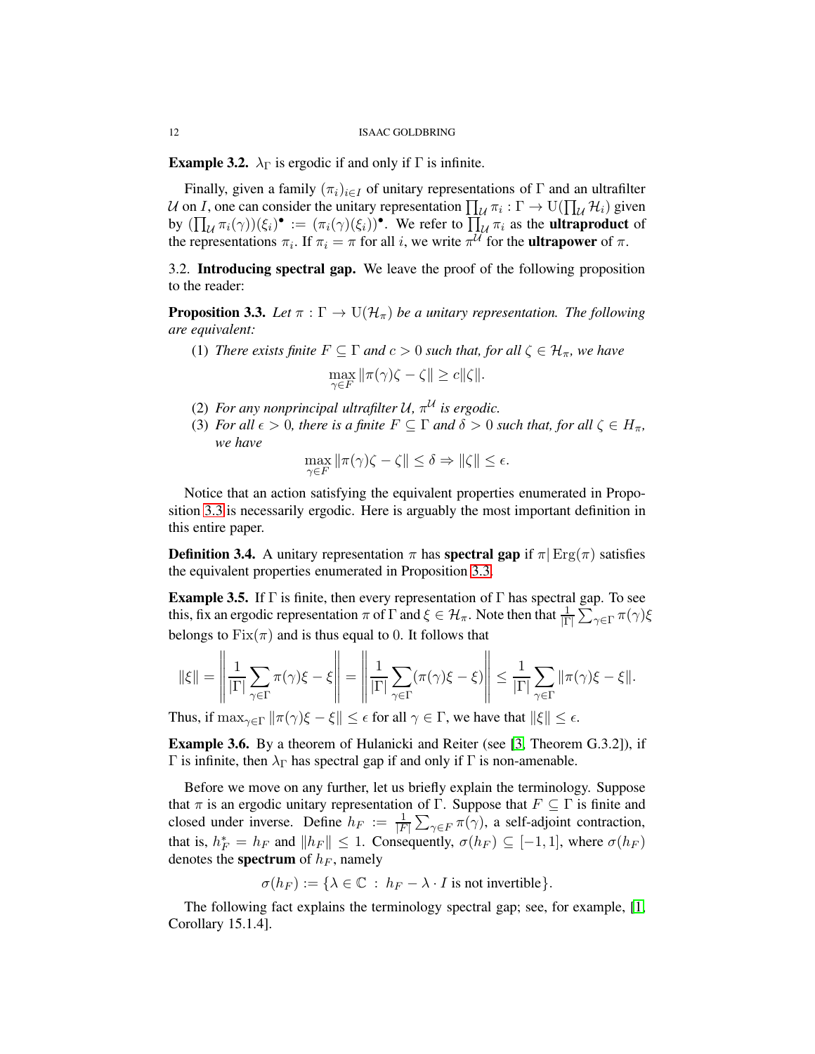<span id="page-11-2"></span>**Example 3.2.**  $\lambda_{\Gamma}$  is ergodic if and only if  $\Gamma$  is infinite.

Finally, given a family  $(\pi_i)_{i\in I}$  of unitary representations of  $\Gamma$  and an ultrafilter U on I, one can consider the unitary representation  $\prod_{\mathcal{U}} \pi_i : \Gamma \to \mathrm{U}(\prod_{\mathcal{U}} \mathcal{H}_i)$  given by  $(\prod_{\mathcal{U}} \pi_i(\gamma))(\xi_i)$ <sup>o</sup> :=  $(\pi_i(\gamma)(\xi_i))^{\bullet}$ . We refer to  $\prod_{\mathcal{U}} \pi_i$  as the **ultraproduct** of the representations  $\pi_i$ . If  $\pi_i = \pi$  for all i, we write  $\pi^{\mathcal{U}}$  for the **ultrapower** of  $\pi$ .

<span id="page-11-0"></span>3.2. Introducing spectral gap. We leave the proof of the following proposition to the reader:

<span id="page-11-1"></span>**Proposition 3.3.** *Let*  $\pi : \Gamma \to \mathrm{U}(\mathcal{H}_\pi)$  *be a unitary representation. The following are equivalent:*

- (1) *There exists finite*  $F \subseteq \Gamma$  *and*  $c > 0$  *such that, for all*  $\zeta \in \mathcal{H}_{\pi}$ *, we have*  $\max_{\gamma \in F} \|\pi(\gamma)\zeta - \zeta\| \geq c \|\zeta\|.$
- (2) For any nonprincipal ultrafilter  $U$ ,  $\pi^{U}$  is ergodic.
- (3) *For all*  $\epsilon > 0$ *, there is a finite*  $F \subseteq \Gamma$  *and*  $\delta > 0$  *such that, for all*  $\zeta \in H_\pi$ *, we have*

$$
\max_{\gamma \in F} \|\pi(\gamma)\zeta - \zeta\| \le \delta \Rightarrow \|\zeta\| \le \epsilon.
$$

Notice that an action satisfying the equivalent properties enumerated in Proposition [3.3](#page-11-1) is necessarily ergodic. Here is arguably the most important definition in this entire paper.

**Definition 3.4.** A unitary representation  $\pi$  has **spectral gap** if  $\pi$  Erg( $\pi$ ) satisfies the equivalent properties enumerated in Proposition [3.3.](#page-11-1)

<span id="page-11-4"></span>**Example 3.5.** If  $\Gamma$  is finite, then every representation of  $\Gamma$  has spectral gap. To see this, fix an ergodic representation  $\pi$  of  $\Gamma$  and  $\xi \in \mathcal{H}_{\pi}$ . Note then that  $\frac{1}{|\Gamma|} \sum_{\gamma \in \Gamma} \pi(\gamma) \xi$ belongs to  $Fix(\pi)$  and is thus equal to 0. It follows that

$$
\|\xi\| = \left\|\frac{1}{|\Gamma|}\sum_{\gamma \in \Gamma} \pi(\gamma)\xi - \xi\right\| = \left\|\frac{1}{|\Gamma|}\sum_{\gamma \in \Gamma} (\pi(\gamma)\xi - \xi)\right\| \le \frac{1}{|\Gamma|}\sum_{\gamma \in \Gamma} \|\pi(\gamma)\xi - \xi\|.
$$

Thus, if  $\max_{\gamma \in \Gamma} ||\pi(\gamma)\xi - \xi|| \leq \epsilon$  for all  $\gamma \in \Gamma$ , we have that  $||\xi|| \leq \epsilon$ .

<span id="page-11-3"></span>Example 3.6. By a theorem of Hulanicki and Reiter (see [\[3,](#page-28-6) Theorem G.3.2]), if Γ is infinite, then  $\lambda_{\Gamma}$  has spectral gap if and only if Γ is non-amenable.

Before we move on any further, let us briefly explain the terminology. Suppose that  $\pi$  is an ergodic unitary representation of Γ. Suppose that  $F \subseteq \Gamma$  is finite and closed under inverse. Define  $h_F := \frac{1}{|F|} \sum_{\gamma \in F} \pi(\gamma)$ , a self-adjoint contraction, that is,  $h_F^* = h_F$  and  $||h_F|| \leq 1$ . Consequently,  $\sigma(h_F) \subseteq [-1, 1]$ , where  $\sigma(h_F)$ denotes the **spectrum** of  $h_F$ , namely

$$
\sigma(h_F):=\{\lambda\in\mathbb{C}\ :\ h_F-\lambda\cdot I\ \text{is not invertible}\}.
$$

The following fact explains the terminology spectral gap; see, for example, [\[1,](#page-28-7) Corollary 15.1.4].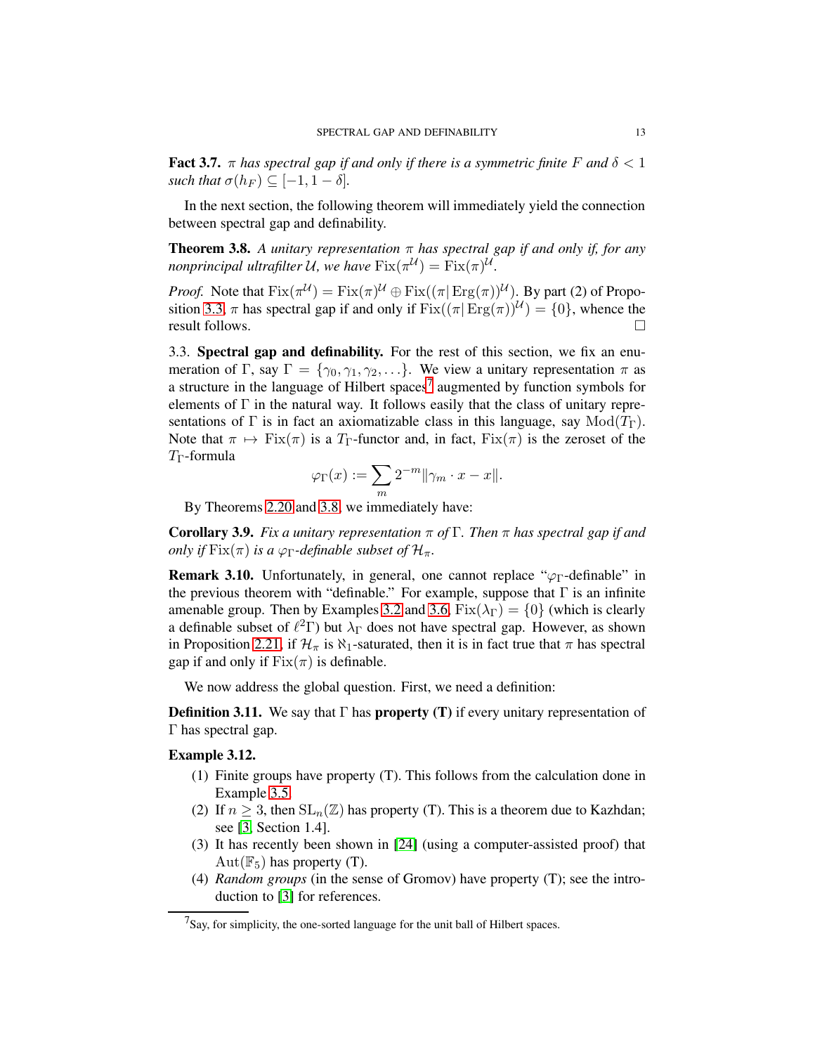**Fact 3.7.**  $\pi$  has spectral gap if and only if there is a symmetric finite F and  $\delta$  < 1 *such that*  $\sigma(h_F) \subseteq [-1, 1-\delta]$ *.* 

In the next section, the following theorem will immediately yield the connection between spectral gap and definability.

<span id="page-12-3"></span>**Theorem 3.8.** A unitary representation  $\pi$  has spectral gap if and only if, for any *nonprincipal ultrafilter* U, we have  $Fix(\pi^{U}) = Fix(\pi)^{U}$ .

*Proof.* Note that  $Fix(\pi^{U}) = Fix(\pi)^{U} \oplus Fix((\pi|Erg(\pi))^{U})$ . By part (2) of Propo-sition [3.3,](#page-11-1)  $\pi$  has spectral gap if and only if  $Fix((\pi|\text{Erg}(\pi))^{\mathcal{U}}) = \{0\}$ , whence the result follows.

<span id="page-12-0"></span>3.3. Spectral gap and definability. For the rest of this section, we fix an enumeration of Γ, say  $\Gamma = \{ \gamma_0, \gamma_1, \gamma_2, \ldots \}.$  We view a unitary representation  $\pi$  as a structure in the language of Hilbert spaces<sup>[7](#page-12-2)</sup> augmented by function symbols for elements of  $\Gamma$  in the natural way. It follows easily that the class of unitary representations of Γ is in fact an axiomatizable class in this language, say  $Mod(T_{\Gamma})$ . Note that  $\pi \mapsto \text{Fix}(\pi)$  is a  $T_{\Gamma}$ -functor and, in fact,  $\text{Fix}(\pi)$  is the zeroset of the  $T_{\Gamma}$ -formula

$$
\varphi_{\Gamma}(x) := \sum_{m} 2^{-m} \|\gamma_m \cdot x - x\|.
$$

By Theorems [2.20](#page-9-2) and [3.8,](#page-12-3) we immediately have:

<span id="page-12-4"></span>Corollary 3.9. *Fix a unitary representation* π *of* Γ*. Then* π *has spectral gap if and only if*  $Fix(\pi)$  *is a*  $\varphi_{\Gamma}$ *-definable subset of*  $\mathcal{H}_{\pi}$ *.* 

<span id="page-12-1"></span>**Remark 3.10.** Unfortunately, in general, one cannot replace " $\varphi_{\Gamma}$ -definable" in the previous theorem with "definable." For example, suppose that  $\Gamma$  is an infinite amenable group. Then by Examples [3.2](#page-11-2) and [3.6,](#page-11-3)  $Fix(\lambda_{\Gamma}) = \{0\}$  (which is clearly a definable subset of  $\ell^2\Gamma$ ) but  $\lambda_{\Gamma}$  does not have spectral gap. However, as shown in Proposition [2.21,](#page-10-2) if  $\mathcal{H}_{\pi}$  is  $\aleph_1$ -saturated, then it is in fact true that  $\pi$  has spectral gap if and only if  $Fix(\pi)$  is definable.

We now address the global question. First, we need a definition:

**Definition 3.11.** We say that  $\Gamma$  has **property** (T) if every unitary representation of Γ has spectral gap.

## Example 3.12.

- (1) Finite groups have property (T). This follows from the calculation done in Example [3.5.](#page-11-4)
- (2) If  $n \geq 3$ , then  $SL_n(\mathbb{Z})$  has property (T). This is a theorem due to Kazhdan; see [\[3,](#page-28-6) Section 1.4].
- (3) It has recently been shown in [\[24\]](#page-29-6) (using a computer-assisted proof) that  $Aut(\mathbb{F}_5)$  has property (T).
- (4) *Random groups* (in the sense of Gromov) have property (T); see the introduction to [\[3\]](#page-28-6) for references.

<span id="page-12-2"></span> $7$ Say, for simplicity, the one-sorted language for the unit ball of Hilbert spaces.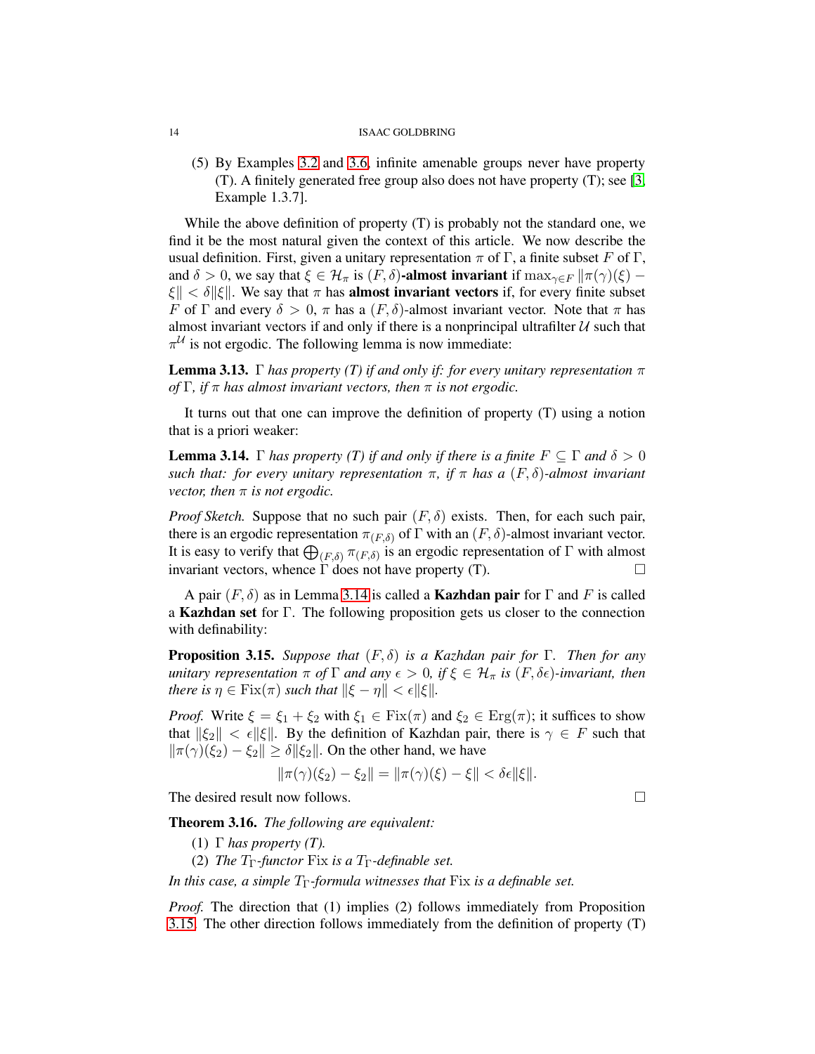(5) By Examples [3.2](#page-11-2) and [3.6,](#page-11-3) infinite amenable groups never have property (T). A finitely generated free group also does not have property (T); see [\[3,](#page-28-6) Example 1.3.7].

While the above definition of property (T) is probably not the standard one, we find it be the most natural given the context of this article. We now describe the usual definition. First, given a unitary representation  $\pi$  of  $\Gamma$ , a finite subset F of  $\Gamma$ , and  $\delta > 0$ , we say that  $\xi \in \mathcal{H}_{\pi}$  is  $(F, \delta)$ -almost invariant if  $\max_{\gamma \in F} ||\pi(\gamma)(\xi) \|\xi\| < \delta \|\xi\|$ . We say that  $\pi$  has **almost invariant vectors** if, for every finite subset F of Γ and every  $\delta > 0$ , π has a  $(F, \delta)$ -almost invariant vector. Note that π has almost invariant vectors if and only if there is a nonprincipal ultrafilter  $U$  such that  $\pi^{\mathcal{U}}$  is not ergodic. The following lemma is now immediate:

**Lemma 3.13.** Γ *has property (T) if and only if: for every unitary representation*  $\pi$ *of* Γ*, if* π *has almost invariant vectors, then* π *is not ergodic.*

It turns out that one can improve the definition of property (T) using a notion that is a priori weaker:

<span id="page-13-0"></span>**Lemma 3.14.** Γ *has property (T) if and only if there is a finite*  $F \subseteq \Gamma$  *and*  $\delta > 0$ *such that: for every unitary representation*  $\pi$ , *if*  $\pi$  *has a*  $(F, \delta)$ *-almost invariant vector, then*  $\pi$  *is not ergodic.* 

*Proof Sketch.* Suppose that no such pair  $(F, \delta)$  exists. Then, for each such pair, there is an ergodic representation  $\pi_{(F,\delta)}$  of  $\Gamma$  with an  $(F,\delta)$ -almost invariant vector. It is easy to verify that  $\bigoplus_{(F,\delta)} \pi_{(F,\delta)}$  is an ergodic representation of  $\Gamma$  with almost invariant vectors, whence  $\Gamma$  does not have property (T).

A pair  $(F, \delta)$  as in Lemma [3.14](#page-13-0) is called a **Kazhdan pair** for  $\Gamma$  and F is called a Kazhdan set for Γ. The following proposition gets us closer to the connection with definability:

<span id="page-13-1"></span>Proposition 3.15. *Suppose that* (F, δ) *is a Kazhdan pair for* Γ*. Then for any unitary representation*  $\pi$  *of*  $\Gamma$  *and any*  $\epsilon > 0$ *, if*  $\xi \in \mathcal{H}_{\pi}$  *is*  $(F, \delta \epsilon)$ *-invariant, then there is*  $\eta \in \text{Fix}(\pi)$  *such that*  $\|\xi - \eta\| < \epsilon \|\xi\|$ *.* 

*Proof.* Write  $\xi = \xi_1 + \xi_2$  with  $\xi_1 \in \text{Fix}(\pi)$  and  $\xi_2 \in \text{Erg}(\pi)$ ; it suffices to show that  $\|\xi_2\| < \epsilon \|\xi\|$ . By the definition of Kazhdan pair, there is  $\gamma \in F$  such that  $\|\pi(\gamma)(\xi_2) - \xi_2\| \ge \delta \|\xi_2\|$ . On the other hand, we have

$$
\|\pi(\gamma)(\xi_2) - \xi_2\| = \|\pi(\gamma)(\xi) - \xi\| < \delta\epsilon \|\xi\|.
$$

The desired result now follows.

Theorem 3.16. *The following are equivalent:*

- (1)  $\Gamma$  *has property (T).*
- (2) *The*  $T_{\Gamma}$ *-functor* Fix *is a*  $T_{\Gamma}$ *-definable set.*

*In this case, a simple*  $T_{\Gamma}$ *-formula witnesses that* Fix *is a definable set.* 

*Proof.* The direction that (1) implies (2) follows immediately from Proposition [3.15.](#page-13-1) The other direction follows immediately from the definition of property (T)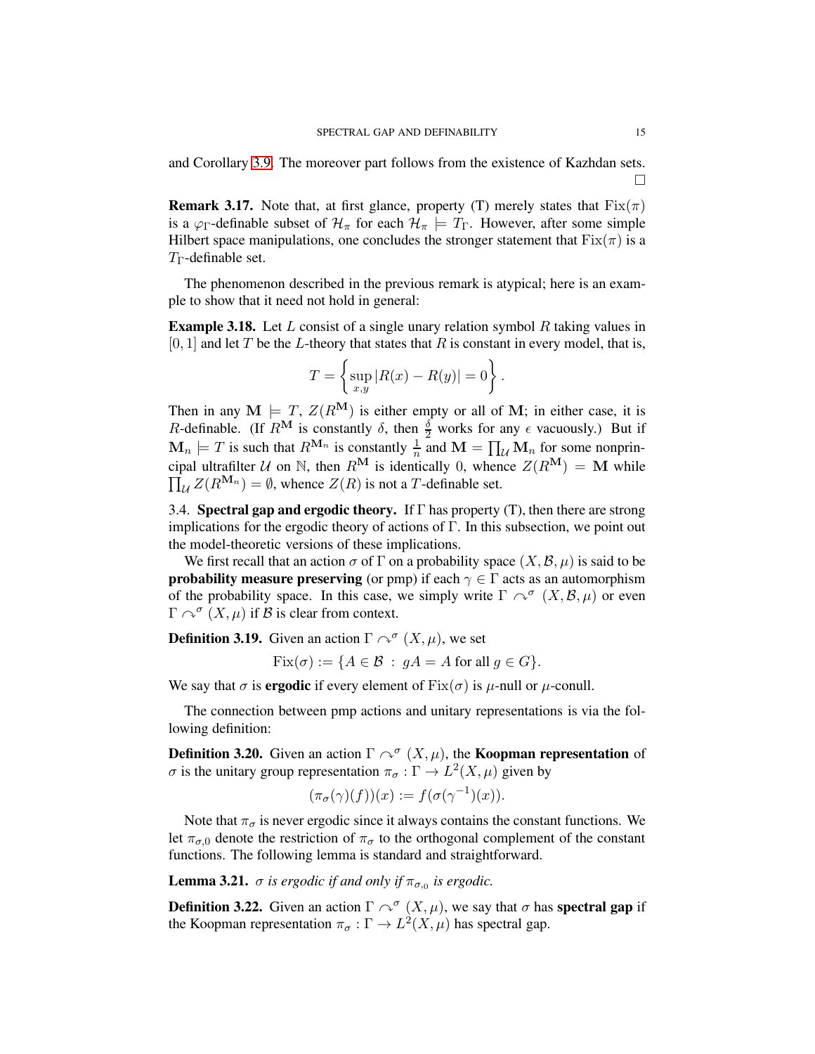and Corollary [3.9.](#page-12-4) The moreover part follows from the existence of Kazhdan sets. П

**Remark 3.17.** Note that, at first glance, property (T) merely states that  $Fix(\pi)$ is a  $\varphi_{\Gamma}$ -definable subset of  $\mathcal{H}_{\pi}$  for each  $\mathcal{H}_{\pi} \models T_{\Gamma}$ . However, after some simple Hilbert space manipulations, one concludes the stronger statement that  $Fix(\pi)$  is a  $T_{\Gamma}$ -definable set.

The phenomenon described in the previous remark is atypical; here is an example to show that it need not hold in general:

**Example 3.18.** Let L consist of a single unary relation symbol R taking values in  $[0, 1]$  and let T be the L-theory that states that R is constant in every model, that is,

$$
T = \left\{ \sup_{x,y} |R(x) - R(y)| = 0 \right\}.
$$

Then in any  $M \models T$ ,  $Z(R^M)$  is either empty or all of M; in either case, it is R-definable. (If  $R^{\mathbf{M}}$  is constantly  $\delta$ , then  $\frac{\delta}{2}$  works for any  $\epsilon$  vacuously.) But if  $\mathbf{M}_n \models T$  is such that  $R^{\mathbf{M}_n}$  is constantly  $\frac{1}{n}$  and  $\mathbf{M} = \prod_{\mathcal{U}} \mathbf{M}_n$  for some nonprin- $\prod_{\mathcal{U}} Z(R^{\mathbf{M}_n}) = \emptyset$ , whence  $Z(R)$  is not a T-definable set. cipal ultrafilter U on N, then  $R^{\mathbf{M}}$  is identically 0, whence  $Z(R^{\mathbf{M}}) = \mathbf{M}$  while

<span id="page-14-0"></span>3.4. Spectral gap and ergodic theory. If  $\Gamma$  has property (T), then there are strong implications for the ergodic theory of actions of Γ. In this subsection, we point out the model-theoretic versions of these implications.

We first recall that an action  $\sigma$  of  $\Gamma$  on a probability space  $(X,\mathcal{B},\mu)$  is said to be **probability measure preserving** (or pmp) if each  $\gamma \in \Gamma$  acts as an automorphism of the probability space. In this case, we simply write  $\Gamma \curvearrowright^{\sigma} (X, \mathcal{B}, \mu)$  or even  $\Gamma \curvearrowright^{\sigma} (X, \mu)$  if  $\beta$  is clear from context.

**Definition 3.19.** Given an action  $\Gamma \curvearrowright^{\sigma} (X, \mu)$ , we set

 $Fix(\sigma) := \{A \in \mathcal{B} : gA = A \text{ for all } g \in G\}.$ 

We say that  $\sigma$  is **ergodic** if every element of  $Fix(\sigma)$  is  $\mu$ -null or  $\mu$ -conull.

The connection between pmp actions and unitary representations is via the following definition:

**Definition 3.20.** Given an action  $\Gamma \curvearrowright^{\sigma} (X, \mu)$ , the **Koopman representation** of σ is the unitary group representation  $\pi_{\sigma} : \Gamma \to L^2(X, \mu)$  given by

$$
(\pi_{\sigma}(\gamma)(f))(x) := f(\sigma(\gamma^{-1})(x)).
$$

Note that  $\pi_{\sigma}$  is never ergodic since it always contains the constant functions. We let  $\pi_{\sigma,0}$  denote the restriction of  $\pi_{\sigma}$  to the orthogonal complement of the constant functions. The following lemma is standard and straightforward.

**Lemma 3.21.**  $\sigma$  is ergodic if and only if  $\pi_{\sigma,0}$  is ergodic.

**Definition 3.22.** Given an action  $\Gamma \curvearrowright^{\sigma} (X, \mu)$ , we say that  $\sigma$  has **spectral gap** if the Koopman representation  $\pi_{\sigma} : \Gamma \to L^2(X, \mu)$  has spectral gap.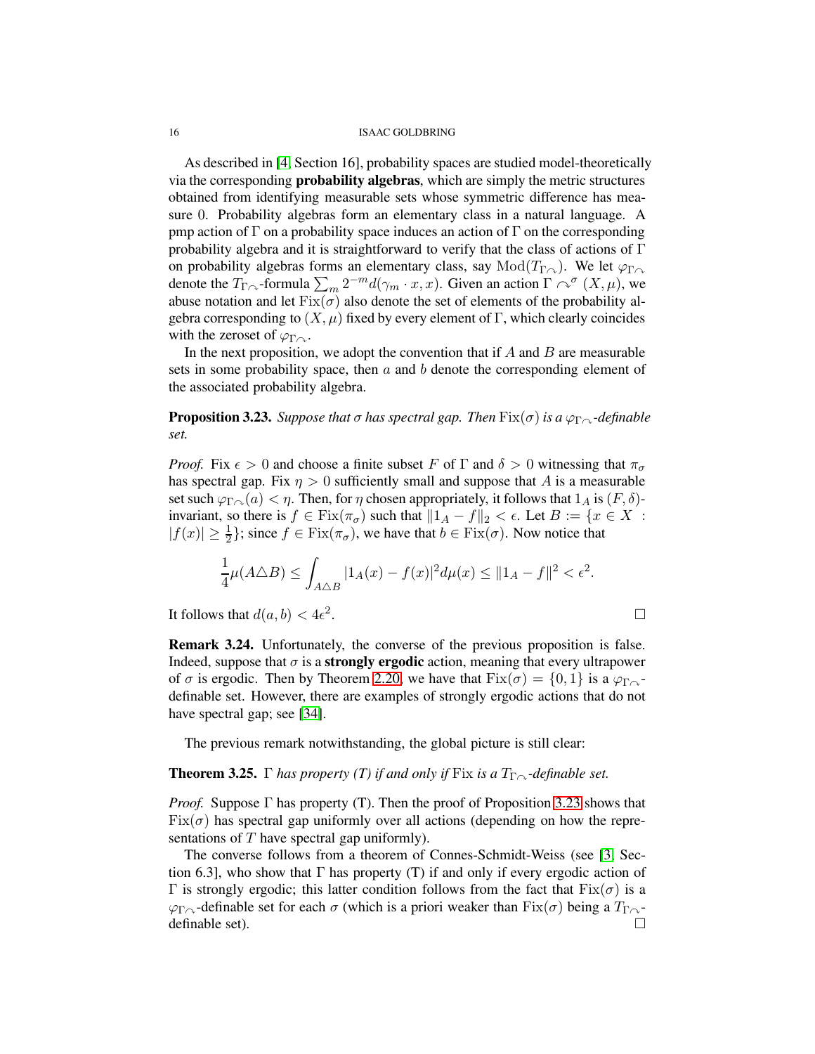As described in [\[4,](#page-28-5) Section 16], probability spaces are studied model-theoretically via the corresponding probability algebras, which are simply the metric structures obtained from identifying measurable sets whose symmetric difference has measure 0. Probability algebras form an elementary class in a natural language. A pmp action of Γ on a probability space induces an action of Γ on the corresponding probability algebra and it is straightforward to verify that the class of actions of  $\Gamma$ on probability algebras forms an elementary class, say  $Mod(T_{\Gamma \cap})$ . We let  $\varphi_{\Gamma \cap}$ denote the  $T_{\Gamma \curvearrowright}$ -formula  $\sum_m 2^{-m} d(\gamma_m \cdot x, x)$ . Given an action  $\Gamma \curvearrowright^{\sigma} (X, \mu)$ , we abuse notation and let  $Fix(\sigma)$  also denote the set of elements of the probability algebra corresponding to  $(X, \mu)$  fixed by every element of Γ, which clearly coincides with the zeroset of  $\varphi_{\Gamma}$ .

In the next proposition, we adopt the convention that if  $A$  and  $B$  are measurable sets in some probability space, then  $\alpha$  and  $\beta$  denote the corresponding element of the associated probability algebra.

<span id="page-15-0"></span>**Proposition 3.23.** *Suppose that*  $\sigma$  *has spectral gap. Then*  $\text{Fix}(\sigma)$  *is a*  $\varphi_{\Gamma} \sim$ *-definable set.*

*Proof.* Fix  $\epsilon > 0$  and choose a finite subset F of  $\Gamma$  and  $\delta > 0$  witnessing that  $\pi_{\sigma}$ has spectral gap. Fix  $\eta > 0$  sufficiently small and suppose that A is a measurable set such  $\varphi_{\Gamma \cap \Lambda}(a) < \eta$ . Then, for  $\eta$  chosen appropriately, it follows that  $1_A$  is  $(F, \delta)$ invariant, so there is  $f \in \text{Fix}(\pi_{\sigma})$  such that  $||1_A - f||_2 < \epsilon$ . Let  $B := \{x \in X :$  $|f(x)| \ge \frac{1}{2}$ ; since  $f \in \text{Fix}(\pi_{\sigma})$ , we have that  $b \in \text{Fix}(\sigma)$ . Now notice that

$$
\frac{1}{4}\mu(A\triangle B) \le \int_{A\triangle B} |1_A(x) - f(x)|^2 d\mu(x) \le ||1_A - f||^2 < \epsilon^2.
$$
\nis that  $d(a, b) < 4\epsilon^2$ .

\n
$$
\Box
$$

It follows that  $d(a, b) < 4\epsilon^2$ 

Remark 3.24. Unfortunately, the converse of the previous proposition is false. Indeed, suppose that  $\sigma$  is a **strongly ergodic** action, meaning that every ultrapower of  $\sigma$  is ergodic. Then by Theorem [2.20,](#page-9-2) we have that  $Fix(\sigma) = \{0, 1\}$  is a  $\varphi_{\Gamma \curvearrowright}$ definable set. However, there are examples of strongly ergodic actions that do not have spectral gap; see [\[34\]](#page-29-7).

The previous remark notwithstanding, the global picture is still clear:

### **Theorem 3.25.** Γ *has property (T) if and only if* Fix *is a*  $T_{\Gamma}$ <sup>2</sup>-definable set.

*Proof.* Suppose Γ has property (T). Then the proof of Proposition [3.23](#page-15-0) shows that  $Fix(\sigma)$  has spectral gap uniformly over all actions (depending on how the representations of  $T$  have spectral gap uniformly).

The converse follows from a theorem of Connes-Schmidt-Weiss (see [\[3,](#page-28-6) Section 6.3], who show that  $\Gamma$  has property (T) if and only if every ergodic action of Γ is strongly ergodic; this latter condition follows from the fact that  $Fix(σ)$  is a  $\varphi_{\Gamma}$ -definable set for each  $\sigma$  (which is a priori weaker than Fix( $\sigma$ ) being a  $T_{\Gamma}$ definable set).  $\Box$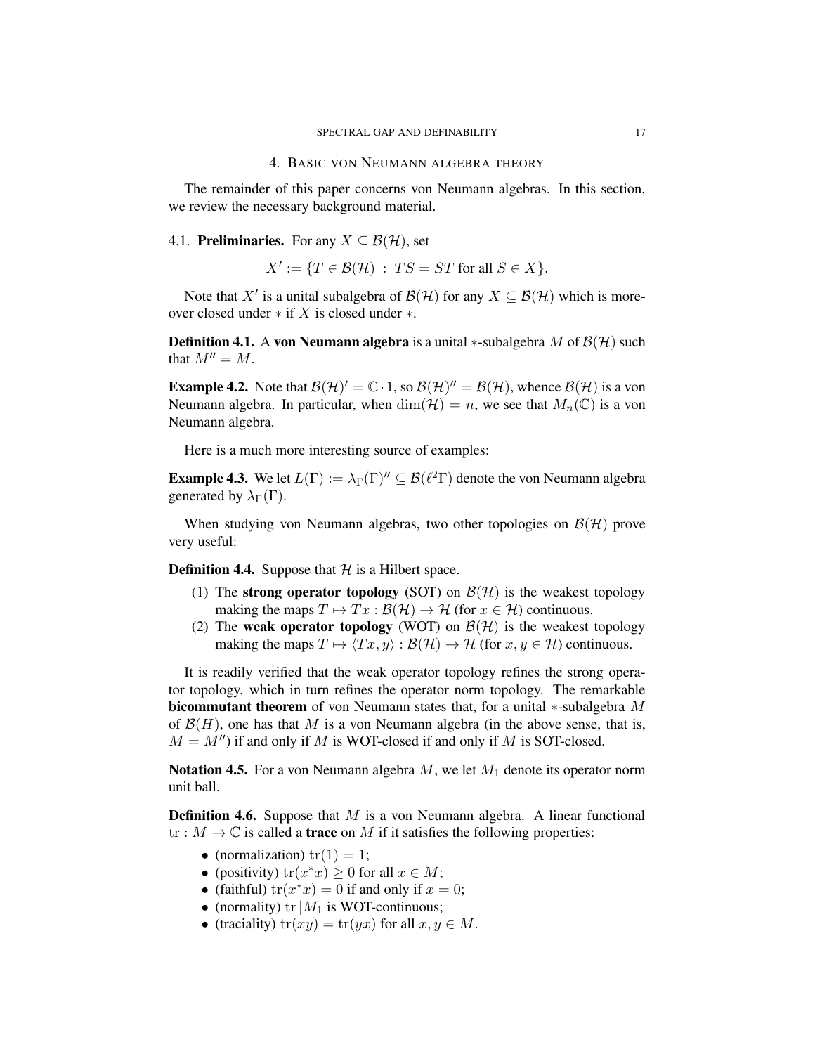<span id="page-16-0"></span>The remainder of this paper concerns von Neumann algebras. In this section, we review the necessary background material.

# <span id="page-16-1"></span>4.1. **Preliminaries.** For any  $X \subseteq \mathcal{B}(\mathcal{H})$ , set

 $X' := \{ T \in \mathcal{B}(\mathcal{H}) \; : \; TS = ST \text{ for all } S \in X \}.$ 

Note that X' is a unital subalgebra of  $\mathcal{B}(\mathcal{H})$  for any  $X \subseteq \mathcal{B}(\mathcal{H})$  which is moreover closed under  $*$  if X is closed under  $*$ .

**Definition 4.1.** A von Neumann algebra is a unital  $*$ -subalgebra M of  $\mathcal{B}(\mathcal{H})$  such that  $M'' = M$ .

**Example 4.2.** Note that  $\mathcal{B}(\mathcal{H})' = \mathbb{C} \cdot 1$ , so  $\mathcal{B}(\mathcal{H})'' = \mathcal{B}(\mathcal{H})$ , whence  $\mathcal{B}(\mathcal{H})$  is a von Neumann algebra. In particular, when  $\dim(\mathcal{H}) = n$ , we see that  $M_n(\mathbb{C})$  is a von Neumann algebra.

Here is a much more interesting source of examples:

**Example 4.3.** We let  $L(\Gamma) := \lambda_{\Gamma}(\Gamma)^{\prime\prime} \subseteq \mathcal{B}(\ell^2 \Gamma)$  denote the von Neumann algebra generated by  $\lambda_{\Gamma}(\Gamma)$ .

When studying von Neumann algebras, two other topologies on  $\mathcal{B}(\mathcal{H})$  prove very useful:

**Definition 4.4.** Suppose that  $H$  is a Hilbert space.

- (1) The strong operator topology (SOT) on  $\mathcal{B}(\mathcal{H})$  is the weakest topology making the maps  $T \mapsto Tx : \mathcal{B}(\mathcal{H}) \to \mathcal{H}$  (for  $x \in \mathcal{H}$ ) continuous.
- (2) The weak operator topology (WOT) on  $\mathcal{B}(\mathcal{H})$  is the weakest topology making the maps  $T \mapsto \langle Tx, y \rangle : \mathcal{B}(\mathcal{H}) \to \mathcal{H}$  (for  $x, y \in \mathcal{H}$ ) continuous.

It is readily verified that the weak operator topology refines the strong operator topology, which in turn refines the operator norm topology. The remarkable bicommutant theorem of von Neumann states that, for a unital ∗-subalgebra M of  $\mathcal{B}(H)$ , one has that M is a von Neumann algebra (in the above sense, that is,  $M = M''$ ) if and only if M is WOT-closed if and only if M is SOT-closed.

**Notation 4.5.** For a von Neumann algebra  $M$ , we let  $M_1$  denote its operator norm unit ball.

**Definition 4.6.** Suppose that  $M$  is a von Neumann algebra. A linear functional tr :  $M \to \mathbb{C}$  is called a **trace** on M if it satisfies the following properties:

- (normalization)  $tr(1) = 1$ ;
- (positivity)  $tr(x^*x) \ge 0$  for all  $x \in M$ ;
- (faithful)  $tr(x^*x) = 0$  if and only if  $x = 0$ ;
- (normality)  $tr|M_1$  is WOT-continuous;
- (traciality)  $tr(xy) = tr(yx)$  for all  $x, y \in M$ .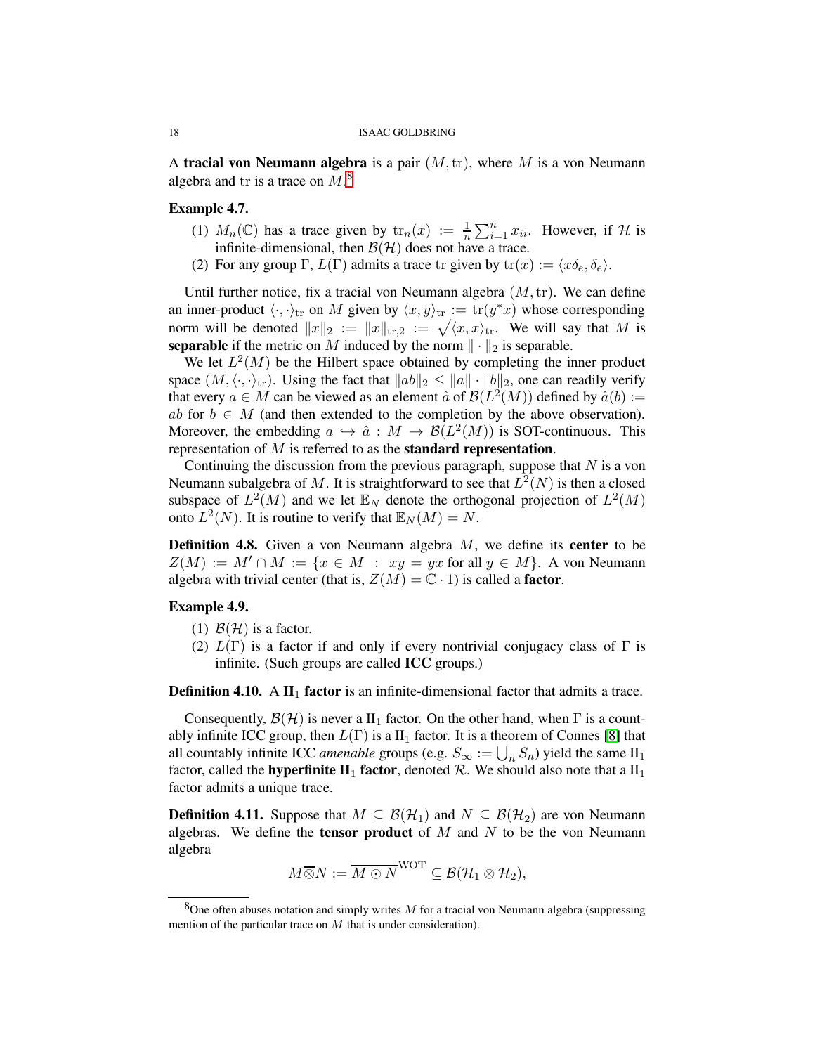A tracial von Neumann algebra is a pair  $(M, \text{tr})$ , where M is a von Neumann algebra and tr is a trace on  $M$ .<sup>[8](#page-17-0)</sup>

## Example 4.7.

- (1)  $M_n(\mathbb{C})$  has a trace given by  $\text{tr}_n(x) := \frac{1}{n} \sum_{i=1}^n x_{ii}$ . However, if H is infinite-dimensional, then  $\mathcal{B}(\mathcal{H})$  does not have a trace.
- (2) For any group  $\Gamma$ ,  $L(\Gamma)$  admits a trace tr given by  $tr(x) := \langle x \delta_e, \delta_e \rangle$ .

Until further notice, fix a tracial von Neumann algebra  $(M, \text{tr})$ . We can define an inner-product  $\langle \cdot, \cdot \rangle_{tr}$  on M given by  $\langle x, y \rangle_{tr} := \text{tr}(y^*x)$  whose corresponding norm will be denoted  $||x||_2 := ||x||_{tr,2} := \sqrt{\langle x, x \rangle_{tr}}$ . We will say that M is **separable** if the metric on M induced by the norm  $\|\cdot\|_2$  is separable.

We let  $L^2(M)$  be the Hilbert space obtained by completing the inner product space  $(M, \langle \cdot, \cdot \rangle_{tr})$ . Using the fact that  $||ab||_2 \le ||a|| \cdot ||b||_2$ , one can readily verify that every  $a \in M$  can be viewed as an element  $\hat{a}$  of  $\mathcal{B}(L^2(M))$  defined by  $\hat{a}(b) :=$ ab for  $b \in M$  (and then extended to the completion by the above observation). Moreover, the embedding  $a \hookrightarrow \hat{a}: M \to B(L^2(M))$  is SOT-continuous. This representation of  $M$  is referred to as the **standard representation**.

Continuing the discussion from the previous paragraph, suppose that  $N$  is a von Neumann subalgebra of M. It is straightforward to see that  $L^2(N)$  is then a closed subspace of  $L^2(M)$  and we let  $\mathbb{E}_N$  denote the orthogonal projection of  $L^2(M)$ onto  $L^2(N)$ . It is routine to verify that  $\mathbb{E}_N(M) = N$ .

**Definition 4.8.** Given a von Neumann algebra  $M$ , we define its **center** to be  $Z(M) := M' \cap M := \{x \in M : xy = yx$  for all  $y \in M\}$ . A von Neumann algebra with trivial center (that is,  $Z(M) = \mathbb{C} \cdot 1$ ) is called a **factor**.

## Example 4.9.

- (1)  $\mathcal{B}(\mathcal{H})$  is a factor.
- (2)  $L(\Gamma)$  is a factor if and only if every nontrivial conjugacy class of  $\Gamma$  is infinite. (Such groups are called ICC groups.)

**Definition 4.10.** A  $\mathbf{II}_1$  factor is an infinite-dimensional factor that admits a trace.

Consequently,  $\mathcal{B}(\mathcal{H})$  is never a  $II_1$  factor. On the other hand, when  $\Gamma$  is a countably infinite ICC group, then  $L(\Gamma)$  is a II<sub>1</sub> factor. It is a theorem of Connes [\[8\]](#page-28-8) that all countably infinite ICC *amenable* groups (e.g.  $S_{\infty} := \bigcup_{n} S_n$ ) yield the same II<sub>1</sub> factor, called the **hyperfinite II**<sub>1</sub> factor, denoted  $\mathcal{R}$ . We should also note that a II<sub>1</sub> factor admits a unique trace.

**Definition 4.11.** Suppose that  $M \subseteq \mathcal{B}(\mathcal{H}_1)$  and  $N \subseteq \mathcal{B}(\mathcal{H}_2)$  are von Neumann algebras. We define the **tensor product** of  $M$  and  $N$  to be the von Neumann algebra

$$
M \overline{\otimes} N := \overline{M \odot N}^{\text{WOT}} \subseteq \mathcal{B}(\mathcal{H}_1 \otimes \mathcal{H}_2),
$$

<span id="page-17-0"></span><sup>&</sup>lt;sup>8</sup>One often abuses notation and simply writes M for a tracial von Neumann algebra (suppressing mention of the particular trace on  $M$  that is under consideration).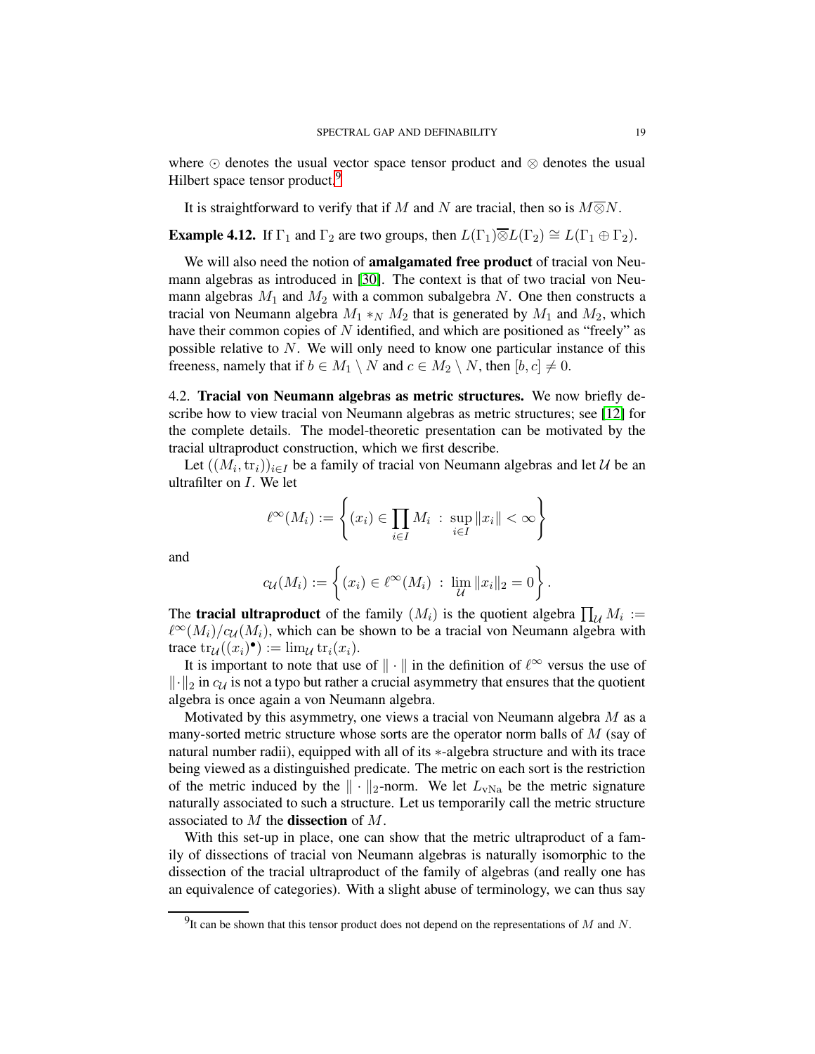where ⊙ denotes the usual vector space tensor product and ⊗ denotes the usual Hilbert space tensor product.<sup>[9](#page-18-1)</sup>

It is straightforward to verify that if M and N are tracial, then so is  $M\overline{\otimes}N$ .

**Example 4.12.** If  $\Gamma_1$  and  $\Gamma_2$  are two groups, then  $L(\Gamma_1)\overline{\otimes}L(\Gamma_2) \cong L(\Gamma_1 \oplus \Gamma_2)$ .

We will also need the notion of amalgamated free product of tracial von Neumann algebras as introduced in [\[30\]](#page-29-8). The context is that of two tracial von Neumann algebras  $M_1$  and  $M_2$  with a common subalgebra N. One then constructs a tracial von Neumann algebra  $M_1 *_N M_2$  that is generated by  $M_1$  and  $M_2$ , which have their common copies of N identified, and which are positioned as "freely" as possible relative to N. We will only need to know one particular instance of this freeness, namely that if  $b \in M_1 \setminus N$  and  $c \in M_2 \setminus N$ , then  $[b, c] \neq 0$ .

<span id="page-18-0"></span>4.2. Tracial von Neumann algebras as metric structures. We now briefly describe how to view tracial von Neumann algebras as metric structures; see [\[12\]](#page-28-9) for the complete details. The model-theoretic presentation can be motivated by the tracial ultraproduct construction, which we first describe.

Let  $((M_i, \text{tr}_i))_{i \in I}$  be a family of tracial von Neumann algebras and let  $\mathcal U$  be an ultrafilter on I. We let

$$
\ell^{\infty}(M_i) := \left\{ (x_i) \in \prod_{i \in I} M_i \; : \; \sup_{i \in I} ||x_i|| < \infty \right\}
$$

and

$$
c_{\mathcal{U}}(M_i) := \left\{ (x_i) \in \ell^{\infty}(M_i) \; : \; \lim_{\mathcal{U}} \|x_i\|_2 = 0 \right\}.
$$

The **tracial ultraproduct** of the family  $(M_i)$  is the quotient algebra  $\prod_{\mathcal{U}} M_i :=$  $\ell^{\infty}(M_i)/c_{\mathcal{U}}(M_i)$ , which can be shown to be a tracial von Neumann algebra with trace  $\text{tr}_{\mathcal{U}}((x_i)^{\bullet}) := \lim_{\mathcal{U}} \text{tr}_i(x_i).$ 

It is important to note that use of  $\|\cdot\|$  in the definition of  $\ell^{\infty}$  versus the use of  $\|\cdot\|_2$  in  $c_\mathcal{U}$  is not a typo but rather a crucial asymmetry that ensures that the quotient algebra is once again a von Neumann algebra.

Motivated by this asymmetry, one views a tracial von Neumann algebra  $M$  as a many-sorted metric structure whose sorts are the operator norm balls of  $M$  (say of natural number radii), equipped with all of its ∗-algebra structure and with its trace being viewed as a distinguished predicate. The metric on each sort is the restriction of the metric induced by the  $\|\cdot\|_2$ -norm. We let  $L_{vNa}$  be the metric signature naturally associated to such a structure. Let us temporarily call the metric structure associated to  $M$  the **dissection** of  $M$ .

With this set-up in place, one can show that the metric ultraproduct of a family of dissections of tracial von Neumann algebras is naturally isomorphic to the dissection of the tracial ultraproduct of the family of algebras (and really one has an equivalence of categories). With a slight abuse of terminology, we can thus say

<span id="page-18-1"></span><sup>&</sup>lt;sup>9</sup>It can be shown that this tensor product does not depend on the representations of M and N.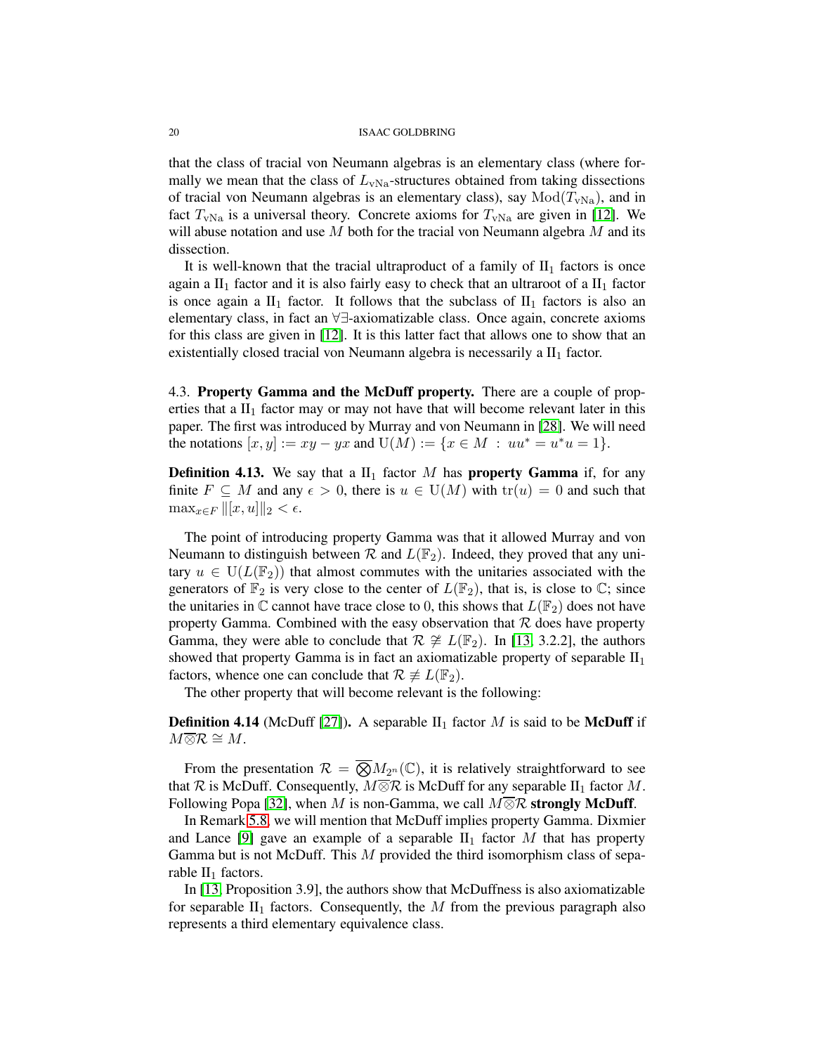that the class of tracial von Neumann algebras is an elementary class (where formally we mean that the class of  $L_{\text{vNa}}$ -structures obtained from taking dissections of tracial von Neumann algebras is an elementary class), say  $Mod(T_{vNa})$ , and in fact  $T_{\rm vNa}$  is a universal theory. Concrete axioms for  $T_{\rm vNa}$  are given in [\[12\]](#page-28-9). We will abuse notation and use  $M$  both for the tracial von Neumann algebra  $M$  and its dissection.

It is well-known that the tracial ultraproduct of a family of  $II_1$  factors is once again a  $II_1$  factor and it is also fairly easy to check that an ultraroot of a  $II_1$  factor is once again a  $II_1$  factor. It follows that the subclass of  $II_1$  factors is also an elementary class, in fact an ∀∃-axiomatizable class. Once again, concrete axioms for this class are given in [\[12\]](#page-28-9). It is this latter fact that allows one to show that an existentially closed tracial von Neumann algebra is necessarily a  $II_1$  factor.

<span id="page-19-0"></span>4.3. Property Gamma and the McDuff property. There are a couple of properties that a  $II_1$  factor may or may not have that will become relevant later in this paper. The first was introduced by Murray and von Neumann in [\[28\]](#page-29-9). We will need the notations  $[x, y] := xy - yx$  and  $U(M) := \{x \in M : uu^* = u^*u = 1\}.$ 

**Definition 4.13.** We say that a  $II_1$  factor M has **property Gamma** if, for any finite  $F \subseteq M$  and any  $\epsilon > 0$ , there is  $u \in U(M)$  with  $tr(u) = 0$  and such that  $\max_{x \in F} ||[x, u]||_2 < \epsilon.$ 

The point of introducing property Gamma was that it allowed Murray and von Neumann to distinguish between  $\mathcal R$  and  $L(\mathbb F_2)$ . Indeed, they proved that any unitary  $u \in U(L(\mathbb{F}_2))$  that almost commutes with the unitaries associated with the generators of  $\mathbb{F}_2$  is very close to the center of  $L(\mathbb{F}_2)$ , that is, is close to  $\mathbb{C}$ ; since the unitaries in  $\mathbb C$  cannot have trace close to 0, this shows that  $L(\mathbb F_2)$  does not have property Gamma. Combined with the easy observation that  $R$  does have property Gamma, they were able to conclude that  $\mathcal{R} \not\cong L(\mathbb{F}_2)$ . In [\[13,](#page-28-10) 3.2.2], the authors showed that property Gamma is in fact an axiomatizable property of separable  $II<sub>1</sub>$ factors, whence one can conclude that  $\mathcal{R} \not\equiv L(\mathbb{F}_2)$ .

The other property that will become relevant is the following:

**Definition 4.14** (McDuff [\[27\]](#page-29-10)). A separable  $II_1$  factor M is said to be **McDuff** if  $M\overline{\otimes }\mathcal{R}\cong M.$ 

From the presentation  $\mathcal{R} = \overline{\bigotimes M_{2^n}}(\mathbb{C})$ , it is relatively straightforward to see that R is McDuff. Consequently,  $M \overline{\otimes} \mathcal{R}$  is McDuff for any separable  $II_1$  factor M. Following Popa [\[32\]](#page-29-11), when M is non-Gamma, we call  $M\overline{\otimes}\mathcal{R}$  strongly McDuff.

In Remark [5.8,](#page-21-2) we will mention that McDuff implies property Gamma. Dixmier and Lance [\[9\]](#page-28-11) gave an example of a separable  $II_1$  factor M that has property Gamma but is not McDuff. This  $M$  provided the third isomorphism class of separable  $II_1$  factors.

In [\[13,](#page-28-10) Proposition 3.9], the authors show that McDuffness is also axiomatizable for separable  $II_1$  factors. Consequently, the  $M$  from the previous paragraph also represents a third elementary equivalence class.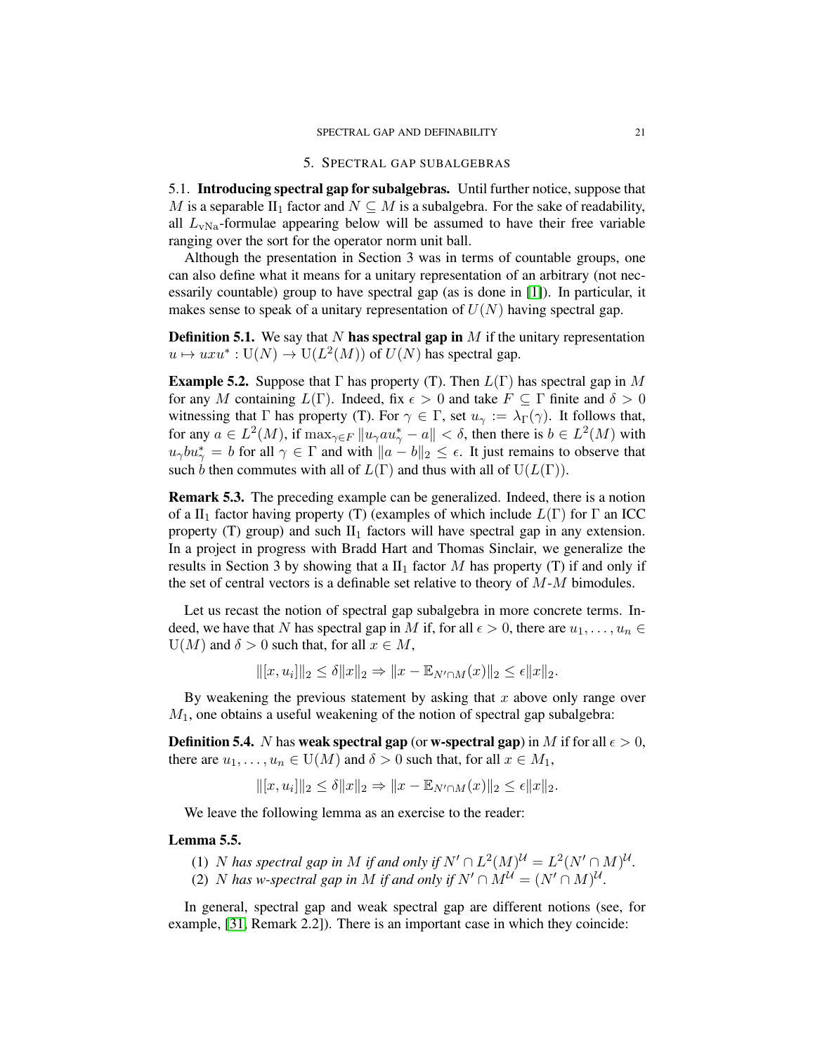#### 5. SPECTRAL GAP SUBALGEBRAS

<span id="page-20-1"></span><span id="page-20-0"></span>5.1. Introducing spectral gap for subalgebras. Until further notice, suppose that M is a separable II<sub>1</sub> factor and  $N \subset M$  is a subalgebra. For the sake of readability, all  $L_{vNa}$ -formulae appearing below will be assumed to have their free variable ranging over the sort for the operator norm unit ball.

Although the presentation in Section 3 was in terms of countable groups, one can also define what it means for a unitary representation of an arbitrary (not necessarily countable) group to have spectral gap (as is done in [\[1\]](#page-28-7)). In particular, it makes sense to speak of a unitary representation of  $U(N)$  having spectral gap.

**Definition 5.1.** We say that N has spectral gap in  $M$  if the unitary representation  $u \mapsto uxu^* : U(N) \to U(L^2(M))$  of  $U(N)$  has spectral gap.

**Example 5.2.** Suppose that  $\Gamma$  has property (T). Then  $L(\Gamma)$  has spectral gap in M for any M containing  $L(\Gamma)$ . Indeed, fix  $\epsilon > 0$  and take  $F \subseteq \Gamma$  finite and  $\delta > 0$ witnessing that Γ has property (T). For  $\gamma \in \Gamma$ , set  $u_{\gamma} := \lambda_{\Gamma}(\gamma)$ . It follows that, for any  $a \in L^2(M)$ , if  $\max_{\gamma \in F} ||u_\gamma a u_\gamma^* - a|| < \delta$ , then there is  $b \in L^2(M)$  with  $u_{\gamma}bu_{\gamma}^* = b$  for all  $\gamma \in \Gamma$  and with  $||a - b||_2 \leq \epsilon$ . It just remains to observe that such b then commutes with all of  $L(\Gamma)$  and thus with all of  $U(L(\Gamma))$ .

<span id="page-20-2"></span>Remark 5.3. The preceding example can be generalized. Indeed, there is a notion of a II<sub>1</sub> factor having property (T) (examples of which include  $L(\Gamma)$  for  $\Gamma$  an ICC property (T) group) and such  $II_1$  factors will have spectral gap in any extension. In a project in progress with Bradd Hart and Thomas Sinclair, we generalize the results in Section 3 by showing that a  $II_1$  factor M has property (T) if and only if the set of central vectors is a definable set relative to theory of  $M-M$  bimodules.

Let us recast the notion of spectral gap subalgebra in more concrete terms. Indeed, we have that N has spectral gap in M if, for all  $\epsilon > 0$ , there are  $u_1, \ldots, u_n \in$  $U(M)$  and  $\delta > 0$  such that, for all  $x \in M$ ,

 $\|[x, u_i]\|_2 \le \delta \|x\|_2 \Rightarrow \|x - \mathbb{E}_{N' \cap M}(x)\|_2 \le \epsilon \|x\|_2.$ 

By weakening the previous statement by asking that  $x$  above only range over  $M_1$ , one obtains a useful weakening of the notion of spectral gap subalgebra:

**Definition 5.4.** N has weak spectral gap (or w-spectral gap) in M if for all  $\epsilon > 0$ , there are  $u_1, \ldots, u_n \in U(M)$  and  $\delta > 0$  such that, for all  $x \in M_1$ ,

$$
\|[x, u_i]\|_2 \le \delta \|x\|_2 \Rightarrow \|x - \mathbb{E}_{N' \cap M}(x)\|_2 \le \epsilon \|x\|_2.
$$

We leave the following lemma as an exercise to the reader:

## Lemma 5.5.

(1) *N* has spectral gap in *M* if and only if  $N' \cap L^2(M)^{\mathcal{U}} = L^2(N' \cap M)^{\mathcal{U}}$ . (2) *N* has w-spectral gap in *M* if and only if  $N' \cap M^{\mathcal{U}} = (N' \cap M)^{\mathcal{U}}$ .

In general, spectral gap and weak spectral gap are different notions (see, for example, [\[31,](#page-29-12) Remark 2.2]). There is an important case in which they coincide: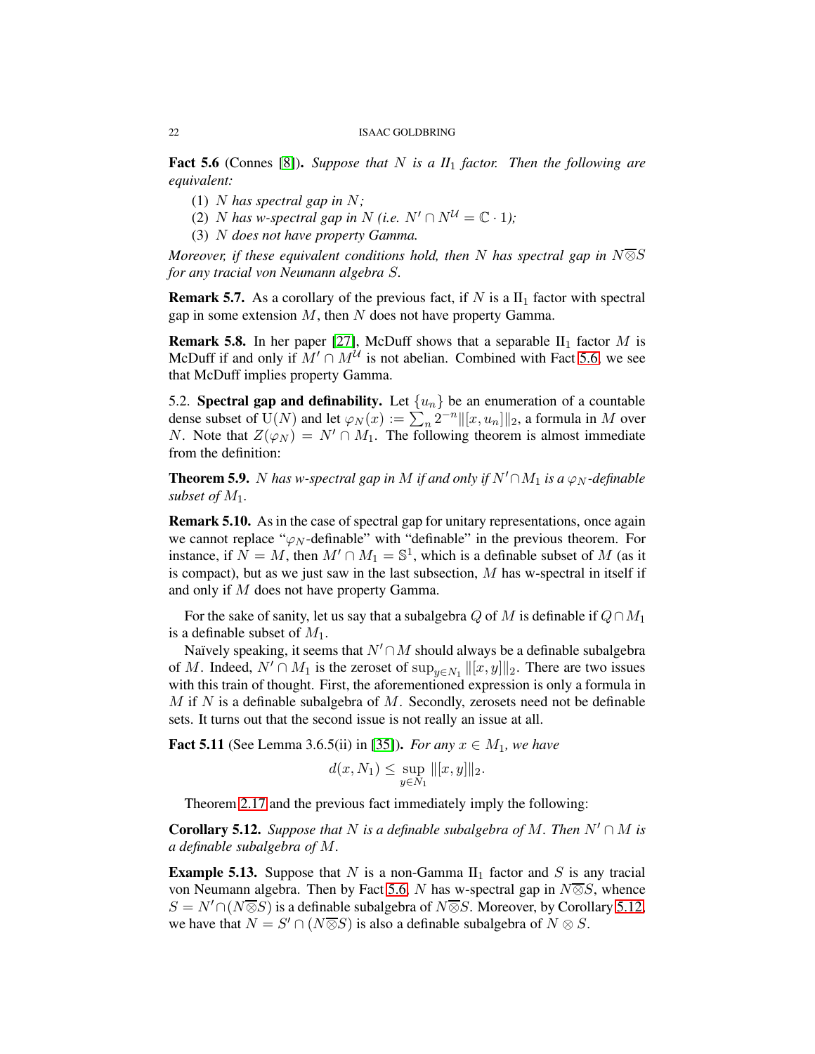<span id="page-21-3"></span>Fact 5.6 (Connes [\[8\]](#page-28-8)). *Suppose that* N *is a II*<sup>1</sup> *factor. Then the following are equivalent:*

- (1) N *has spectral gap in* N*;*
- (2) *N* has *w*-spectral gap in *N* (i.e.  $N' \cap N^{\mathcal{U}} = \mathbb{C} \cdot 1$ );
- (3) N *does not have property Gamma.*

*Moreover, if these equivalent conditions hold, then* N *has spectral gap in* N⊗S *for any tracial von Neumann algebra* S*.*

**Remark 5.7.** As a corollary of the previous fact, if N is a  $II_1$  factor with spectral gap in some extension  $M$ , then  $N$  does not have property Gamma.

<span id="page-21-2"></span>**Remark 5.8.** In her paper [\[27\]](#page-29-10), McDuff shows that a separable  $II_1$  factor M is McDuff if and only if  $M' \cap M^{\mathcal{U}}$  is not abelian. Combined with Fact [5.6,](#page-21-3) we see that McDuff implies property Gamma.

<span id="page-21-0"></span>5.2. Spectral gap and definability. Let  $\{u_n\}$  be an enumeration of a countable dense subset of  $U(N)$  and let  $\varphi_N(x) := \sum_n 2^{-n} ||[x, u_n]||_2$ , a formula in M over N. Note that  $Z(\varphi_N) = N' \cap M_1$ . The following theorem is almost immediate from the definition:

<span id="page-21-5"></span>**Theorem 5.9.** N has w-spectral gap in M if and only if  $N' \cap M_1$  is a  $\varphi_N$ -definable *subset of*  $M_1$ *.* 

<span id="page-21-1"></span>Remark 5.10. As in the case of spectral gap for unitary representations, once again we cannot replace " $\varphi_N$ -definable" with "definable" in the previous theorem. For instance, if  $\overline{N} = M$ , then  $M' \cap M_1 = \mathbb{S}^1$ , which is a definable subset of M (as it is compact), but as we just saw in the last subsection,  $M$  has w-spectral in itself if and only if M does not have property Gamma.

For the sake of sanity, let us say that a subalgebra Q of M is definable if  $Q \cap M_1$ is a definable subset of  $M_1$ .

Naïvely speaking, it seems that  $N' \cap M$  should always be a definable subalgebra of M. Indeed,  $N' \cap M_1$  is the zeroset of  $\sup_{y \in N_1} ||[x, y]||_2$ . There are two issues with this train of thought. First, the aforementioned expression is only a formula in  $M$  if N is a definable subalgebra of  $M$ . Secondly, zerosets need not be definable sets. It turns out that the second issue is not really an issue at all.

<span id="page-21-6"></span>**Fact 5.11** (See Lemma 3.6.5(ii) in [\[35\]](#page-29-13)). *For any*  $x \in M_1$ *, we have* 

$$
d(x, N_1) \leq \sup_{y \in N_1} ||[x, y]||_2.
$$

Theorem [2.17](#page-9-0) and the previous fact immediately imply the following:

<span id="page-21-4"></span>**Corollary 5.12.** *Suppose that* N *is a definable subalgebra of* M. Then  $N' \cap M$  *is a definable subalgebra of* M*.*

**Example 5.13.** Suppose that N is a non-Gamma  $II_1$  factor and S is any tracial von Neumann algebra. Then by Fact [5.6,](#page-21-3) N has w-spectral gap in  $N\overline{\otimes}S$ , whence  $S = N' \cap (N \overline{\otimes} S)$  is a definable subalgebra of  $N \overline{\otimes} S$ . Moreover, by Corollary [5.12,](#page-21-4) we have that  $N = S' \cap (N \overline{\otimes} S)$  is also a definable subalgebra of  $N \otimes S$ .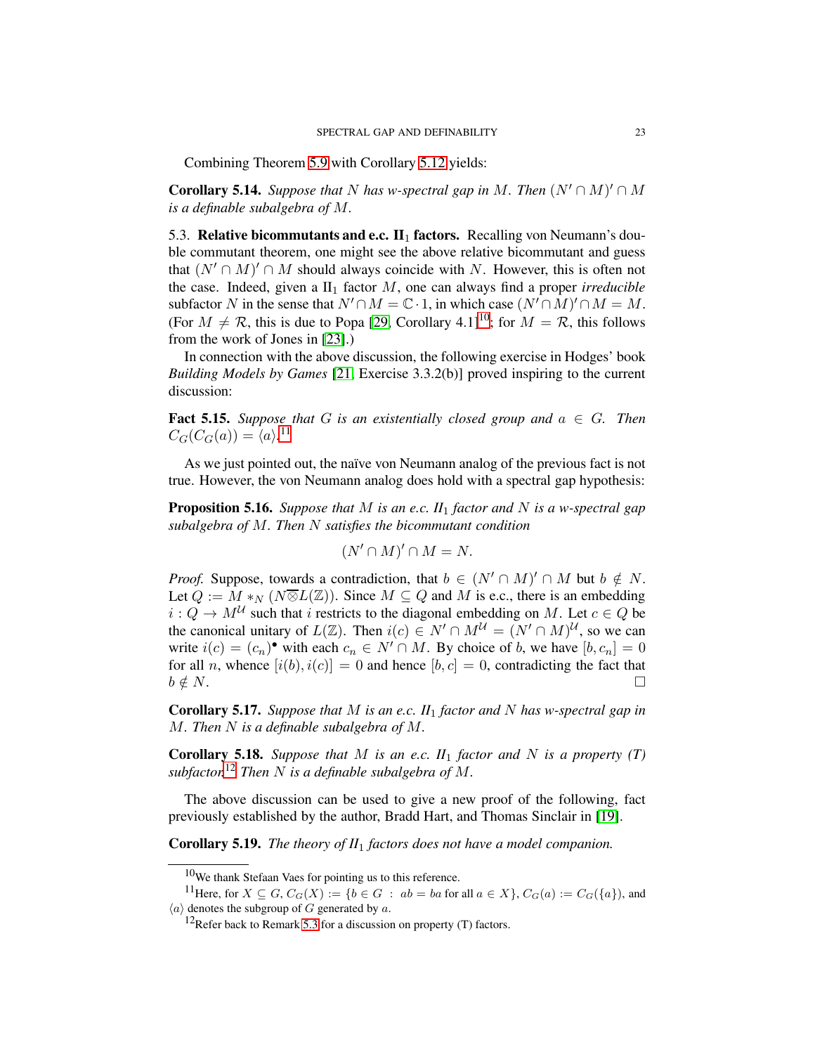Combining Theorem [5.9](#page-21-5) with Corollary [5.12](#page-21-4) yields:

<span id="page-22-4"></span>**Corollary 5.14.** *Suppose that* N *has w-spectral gap in* M. Then  $(N' \cap M)' \cap M$ *is a definable subalgebra of* M*.*

<span id="page-22-0"></span>5.3. Relative bicommutants and e.c.  $\mathbf{II}_1$  factors. Recalling von Neumann's double commutant theorem, one might see the above relative bicommutant and guess that  $(N' \cap M)' \cap M$  should always coincide with N. However, this is often not the case. Indeed, given a  $II_1$  factor M, one can always find a proper *irreducible* subfactor N in the sense that  $N' \cap M = \mathbb{C} \cdot 1$ , in which case  $(N' \cap M)' \cap M = M$ . (For  $M \neq \mathcal{R}$ , this is due to Popa [\[29,](#page-29-14) Corollary 4.1]<sup>[10](#page-22-1)</sup>; for  $M = \mathcal{R}$ , this follows from the work of Jones in [\[23\]](#page-29-15).)

In connection with the above discussion, the following exercise in Hodges' book *Building Models by Games* [\[21,](#page-29-16) Exercise 3.3.2(b)] proved inspiring to the current discussion:

**Fact 5.15.** Suppose that G is an existentially closed group and  $a \in G$ . Then  $C_G(C_G(a)) = \langle a \rangle^{11}$  $C_G(C_G(a)) = \langle a \rangle^{11}$  $C_G(C_G(a)) = \langle a \rangle^{11}$ 

As we just pointed out, the naïve von Neumann analog of the previous fact is not true. However, the von Neumann analog does hold with a spectral gap hypothesis:

<span id="page-22-5"></span>Proposition 5.16. *Suppose that* M *is an e.c. II*<sup>1</sup> *factor and* N *is a w-spectral gap subalgebra of* M*. Then* N *satisfies the bicommutant condition*

$$
(N' \cap M)' \cap M = N.
$$

*Proof.* Suppose, towards a contradiction, that  $b \in (N' \cap M)' \cap M$  but  $b \notin N$ . Let  $Q := M *_{N} (N \overline{\otimes} L(\mathbb{Z}))$ . Since  $M \subseteq Q$  and M is e.c., there is an embedding  $i: Q \to M^{\mathcal{U}}$  such that i restricts to the diagonal embedding on M. Let  $c \in Q$  be the canonical unitary of  $L(\mathbb{Z})$ . Then  $i(c) \in N' \cap M^{\mathcal{U}} = (N' \cap M)^{\mathcal{U}}$ , so we can write  $i(c) = (c_n)$ <sup>•</sup> with each  $c_n \in N' \cap M$ . By choice of b, we have  $[b, c_n] = 0$ for all n, whence  $[i(b), i(c)] = 0$  and hence  $[b, c] = 0$ , contradicting the fact that  $b \notin N$ .

Corollary 5.17. *Suppose that* M *is an e.c. II*<sup>1</sup> *factor and* N *has w-spectral gap in* M*. Then* N *is a definable subalgebra of* M*.*

**Corollary 5.18.** Suppose that M is an e.c.  $II_1$  factor and N is a property (T) *subfactor.*[12](#page-22-3) *Then* N *is a definable subalgebra of* M*.*

The above discussion can be used to give a new proof of the following, fact previously established by the author, Bradd Hart, and Thomas Sinclair in [\[19\]](#page-29-4).

Corollary 5.19. *The theory of II*<sup>1</sup> *factors does not have a model companion.*

<span id="page-22-1"></span> $10$ We thank Stefaan Vaes for pointing us to this reference.

<sup>&</sup>lt;sup>11</sup>Here, for  $X \subseteq G$ ,  $C_G(X) := \{b \in G : ab = ba$  for all  $a \in X\}$ ,  $C_G(a) := C_G(\{a\})$ , and  $\langle a \rangle$  denotes the subgroup of G generated by a.

<span id="page-22-3"></span><span id="page-22-2"></span> $12$ Refer back to Remark [5.3](#page-20-2) for a discussion on property (T) factors.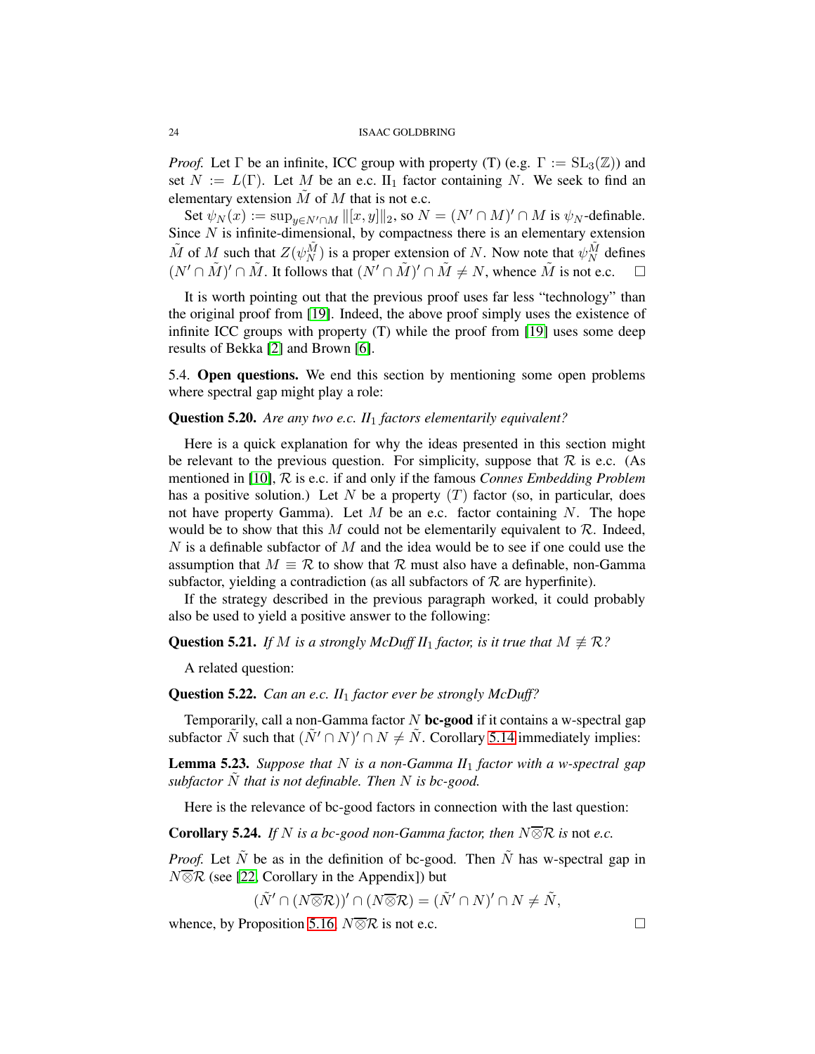*Proof.* Let  $\Gamma$  be an infinite, ICC group with property (T) (e.g.  $\Gamma := SL_3(\mathbb{Z})$ ) and set  $N := L(\Gamma)$ . Let M be an e.c.  $\Pi_1$  factor containing N. We seek to find an elementary extension  $\tilde{M}$  of  $M$  that is not e.c.

Set  $\psi_N(x) := \sup_{y \in N' \cap M} ||[x, y]||_2$ , so  $N = (N' \cap M)' \cap M$  is  $\psi_N$ -definable. Since  $N$  is infinite-dimensional, by compactness there is an elementary extension  $\tilde{M}$  of  $M$  such that  $Z(\psi_N^{\tilde{M}})$  is a proper extension of N. Now note that  $\psi_N^{\tilde{M}}$  defines  $(N' \cap \tilde{M})' \cap \tilde{M}$ . It follows that  $(N' \cap \tilde{M})' \cap \tilde{M} \neq N$ , whence  $\tilde{M}$  is not e.c.  $\square$ 

It is worth pointing out that the previous proof uses far less "technology" than the original proof from [\[19\]](#page-29-4). Indeed, the above proof simply uses the existence of infinite ICC groups with property (T) while the proof from [\[19\]](#page-29-4) uses some deep results of Bekka [\[2\]](#page-28-12) and Brown [\[6\]](#page-28-13).

<span id="page-23-0"></span>5.4. Open questions. We end this section by mentioning some open problems where spectral gap might play a role:

## Question 5.20. *Are any two e.c. II*<sup>1</sup> *factors elementarily equivalent?*

Here is a quick explanation for why the ideas presented in this section might be relevant to the previous question. For simplicity, suppose that  $R$  is e.c. (As mentioned in [\[10\]](#page-28-14), R is e.c. if and only if the famous *Connes Embedding Problem* has a positive solution.) Let N be a property  $(T)$  factor (so, in particular, does not have property Gamma). Let  $M$  be an e.c. factor containing  $N$ . The hope would be to show that this M could not be elementarily equivalent to  $\mathcal{R}$ . Indeed,  $N$  is a definable subfactor of  $M$  and the idea would be to see if one could use the assumption that  $M \equiv \mathcal{R}$  to show that  $\mathcal{R}$  must also have a definable, non-Gamma subfactor, yielding a contradiction (as all subfactors of  $R$  are hyperfinite).

If the strategy described in the previous paragraph worked, it could probably also be used to yield a positive answer to the following:

## **Question 5.21.** *If* M *is a strongly McDuff II*<sub>1</sub> *factor, is it true that*  $M \neq \mathcal{R}$ *?*

A related question:

## Question 5.22. *Can an e.c. II*<sup>1</sup> *factor ever be strongly McDuff?*

Temporarily, call a non-Gamma factor  $N$  bc-good if it contains a w-spectral gap subfactor  $\tilde{N}$  such that  $(\tilde{N}' \cap N)' \cap N \neq \tilde{N}$ . Corollary [5.14](#page-22-4) immediately implies:

Lemma 5.23. *Suppose that* N *is a non-Gamma II*<sup>1</sup> *factor with a w-spectral gap subfactor* N˜ *that is not definable. Then* N *is bc-good.*

Here is the relevance of bc-good factors in connection with the last question:

**Corollary 5.24.** *If* N *is a bc-good non-Gamma factor, then*  $N\overline{\otimes}R$  *is* not *e.c.* 

*Proof.* Let  $\tilde{N}$  be as in the definition of bc-good. Then  $\tilde{N}$  has w-spectral gap in  $N\overline{\otimes}\mathcal{R}$  (see [\[22,](#page-29-17) Corollary in the Appendix]) but

 $(\tilde{N}' \cap (N \overline{\otimes} R))' \cap (N \overline{\otimes} R) = (\tilde{N}' \cap N)' \cap N \neq \tilde{N},$ 

whence, by Proposition [5.16,](#page-22-5)  $N\overline{\otimes}R$  is not e.c.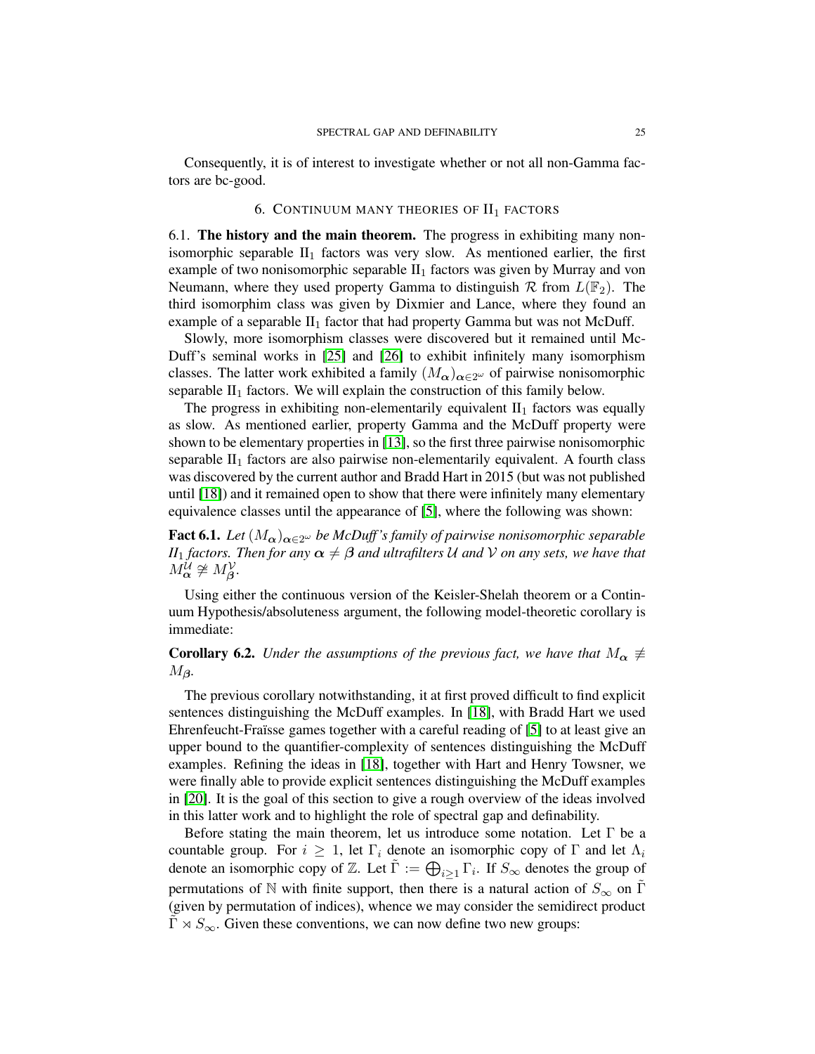<span id="page-24-0"></span>Consequently, it is of interest to investigate whether or not all non-Gamma factors are bc-good.

## 6. CONTINUUM MANY THEORIES OF  $II<sub>1</sub>$  FACTORS

<span id="page-24-1"></span>6.1. The history and the main theorem. The progress in exhibiting many nonisomorphic separable  $II_1$  factors was very slow. As mentioned earlier, the first example of two nonisomorphic separable  $II_1$  factors was given by Murray and von Neumann, where they used property Gamma to distinguish  $\mathcal R$  from  $L(\mathbb F_2)$ . The third isomorphim class was given by Dixmier and Lance, where they found an example of a separable  $II_1$  factor that had property Gamma but was not McDuff.

Slowly, more isomorphism classes were discovered but it remained until Mc-Duff's seminal works in [\[25\]](#page-29-18) and [\[26\]](#page-29-19) to exhibit infinitely many isomorphism classes. The latter work exhibited a family  $(M_{\alpha})_{\alpha \in 2^{\omega}}$  of pairwise nonisomorphic separable  $II_1$  factors. We will explain the construction of this family below.

The progress in exhibiting non-elementarily equivalent  $II_1$  factors was equally as slow. As mentioned earlier, property Gamma and the McDuff property were shown to be elementary properties in [\[13\]](#page-28-10), so the first three pairwise nonisomorphic separable  $II_1$  factors are also pairwise non-elementarily equivalent. A fourth class was discovered by the current author and Bradd Hart in 2015 (but was not published until [\[18\]](#page-29-20)) and it remained open to show that there were infinitely many elementary equivalence classes until the appearance of [\[5\]](#page-28-3), where the following was shown:

**Fact 6.1.** *Let*  $(M_{\alpha})_{\alpha \in 2^{\omega}}$  *be McDuff's family of pairwise nonisomorphic separable II*<sub>1</sub> *factors. Then for any*  $\alpha \neq \beta$  *and ultrafilters* U *and* V *on any sets, we have that*  $M_{\alpha}^{\mathcal{U}} \not\cong M_{\beta}^{\mathcal{V}}.$ 

Using either the continuous version of the Keisler-Shelah theorem or a Continuum Hypothesis/absoluteness argument, the following model-theoretic corollary is immediate:

<span id="page-24-2"></span>**Corollary 6.2.** *Under the assumptions of the previous fact, we have that*  $M_{\alpha} \neq$  $M$ *β*.

The previous corollary notwithstanding, it at first proved difficult to find explicit sentences distinguishing the McDuff examples. In [\[18\]](#page-29-20), with Bradd Hart we used Ehrenfeucht-Fraïsse games together with a careful reading of [\[5\]](#page-28-3) to at least give an upper bound to the quantifier-complexity of sentences distinguishing the McDuff examples. Refining the ideas in [\[18\]](#page-29-20), together with Hart and Henry Towsner, we were finally able to provide explicit sentences distinguishing the McDuff examples in [\[20\]](#page-29-5). It is the goal of this section to give a rough overview of the ideas involved in this latter work and to highlight the role of spectral gap and definability.

Before stating the main theorem, let us introduce some notation. Let Γ be a countable group. For  $i \geq 1$ , let  $\Gamma_i$  denote an isomorphic copy of  $\Gamma$  and let  $\Lambda_i$ denote an isomorphic copy of Z. Let  $\tilde{\Gamma} := \bigoplus_{i \geq 1} \Gamma_i$ . If  $S_{\infty}$  denotes the group of permutations of N with finite support, then there is a natural action of  $S_{\infty}$  on  $\Gamma$ (given by permutation of indices), whence we may consider the semidirect product  $\Gamma \rtimes S_{\infty}$ . Given these conventions, we can now define two new groups: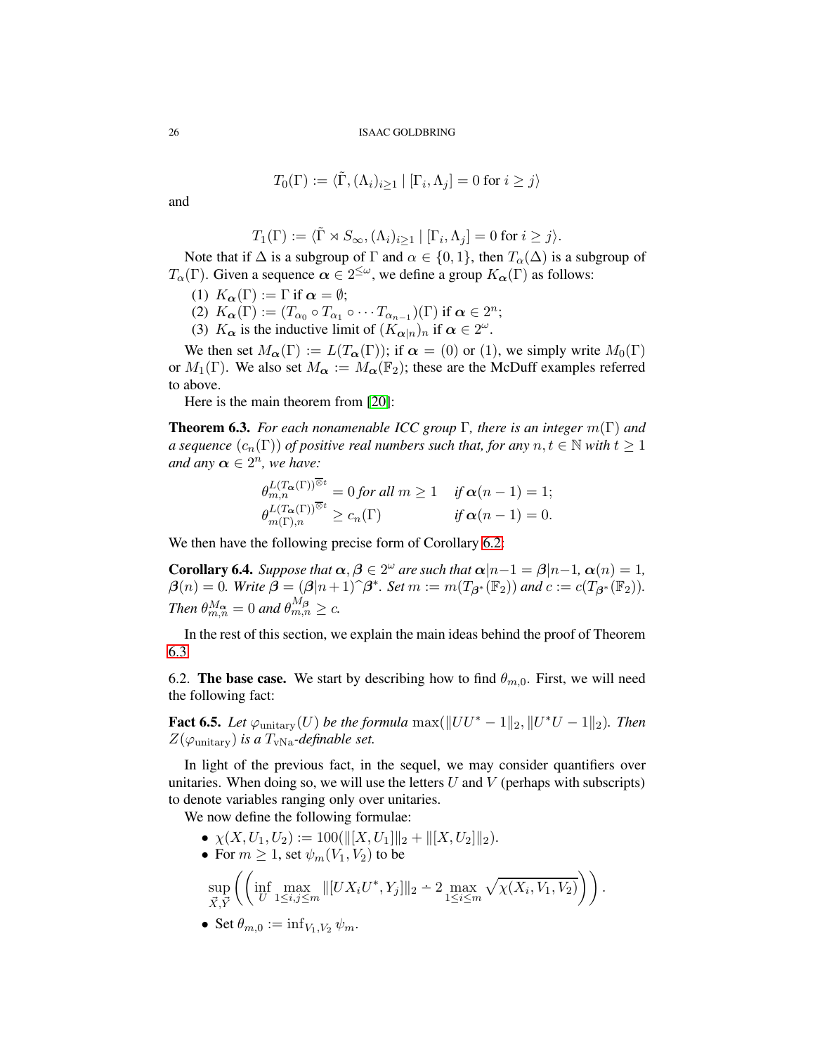$$
T_0(\Gamma) := \langle \tilde{\Gamma}, (\Lambda_i)_{i \ge 1} | [\Gamma_i, \Lambda_j] = 0 \text{ for } i \ge j \rangle
$$

and

$$
T_1(\Gamma) := \langle \tilde{\Gamma} \rtimes S_{\infty}, (\Lambda_i)_{i \ge 1} | [\Gamma_i, \Lambda_j] = 0 \text{ for } i \ge j \rangle.
$$

Note that if  $\Delta$  is a subgroup of  $\Gamma$  and  $\alpha \in \{0,1\}$ , then  $T_{\alpha}(\Delta)$  is a subgroup of  $T_{\alpha}(\Gamma)$ . Given a sequence  $\alpha \in 2^{\leq \omega}$ , we define a group  $K_{\alpha}(\Gamma)$  as follows:

- (1)  $K_{\alpha}(\Gamma) := \Gamma$  if  $\alpha = \emptyset$ ;
- (2)  $K_{\alpha}(\Gamma) := (T_{\alpha_0} \circ T_{\alpha_1} \circ \cdots T_{\alpha_{n-1}})(\Gamma)$  if  $\alpha \in 2^n$ ;
- (3)  $K_{\alpha}$  is the inductive limit of  $(K_{\alpha|n})_n$  if  $\alpha \in 2^{\omega}$ .

We then set  $M_{\alpha}(\Gamma) := L(T_{\alpha}(\Gamma));$  if  $\alpha = (0)$  or (1), we simply write  $M_0(\Gamma)$ or  $M_1(\Gamma)$ . We also set  $M_{\alpha} := M_{\alpha}(\mathbb{F}_2)$ ; these are the McDuff examples referred to above.

Here is the main theorem from [\[20\]](#page-29-5):

<span id="page-25-1"></span>Theorem 6.3. *For each nonamenable ICC group* Γ*, there is an integer* m(Γ) *and a sequence*  $(c_n(\Gamma))$  *of positive real numbers such that, for any*  $n, t \in \mathbb{N}$  *with*  $t \geq 1$ and any  $\alpha \in 2^n$ , we have:

$$
\theta_{m,n}^{L(T_{\alpha}(\Gamma))^{\overline{\otimes}t}} = 0 \text{ for all } m \ge 1 \quad \text{ if } \alpha(n-1) = 1;\\ \theta_{m(\Gamma),n}^{L(T_{\alpha}(\Gamma))^{\overline{\otimes}t}} \ge c_n(\Gamma) \quad \text{ if } \alpha(n-1) = 0.
$$

We then have the following precise form of Corollary [6.2:](#page-24-2)

**Corollary 6.4.** *Suppose that*  $\alpha, \beta \in 2^{\omega}$  *are such that*  $\alpha |n-1 = \beta |n-1, \alpha(n) = 1$ ,  $\beta(n) = 0$ *. Write*  $\beta = (\beta | n + 1) \hat{\beta}^*$ *. Set*  $m := m(T_{\beta^*}(\mathbb{F}_2))$  *and*  $c := c(T_{\beta^*}(\mathbb{F}_2))$ *. Then*  $\theta_{m,n}^{M_{\boldsymbol{\alpha}}} = 0$  *and*  $\theta_{m,n}^{M_{\boldsymbol{\beta}}} \geq c$ *.* 

In the rest of this section, we explain the main ideas behind the proof of Theorem [6.3.](#page-25-1)

<span id="page-25-0"></span>6.2. The base case. We start by describing how to find  $\theta_{m,0}$ . First, we will need the following fact:

**Fact 6.5.** *Let*  $\varphi$ <sub>unitary</sub>(*U*) *be the formula* max( $||UU^* - 1||_2$ ,  $||U^*U - 1||_2$ )*. Then*  $Z(\varphi_{\text{unitary}})$  *is a*  $T_{\text{vNa}}$ -definable set.

In light of the previous fact, in the sequel, we may consider quantifiers over unitaries. When doing so, we will use the letters  $U$  and  $V$  (perhaps with subscripts) to denote variables ranging only over unitaries.

We now define the following formulae:

- $\chi(X, U_1, U_2) := 100(||[X, U_1]||_2 + ||[X, U_2]||_2).$
- For  $m \geq 1$ , set  $\psi_m(V_1, V_2)$  to be

$$
\sup_{\vec{X},\vec{Y}} \left( \left( \inf_{U} \max_{1 \leq i,j \leq m} \| [UX_iU^*,Y_j] \|_2 \right. \left. \left. \left. \right. \right. \left. - 2 \max_{1 \leq i \leq m} \sqrt{\chi(X_i,V_1,V_2)} \right) \right).
$$

• Set  $\theta_{m,0} := \inf_{V_1, V_2} \psi_m$ .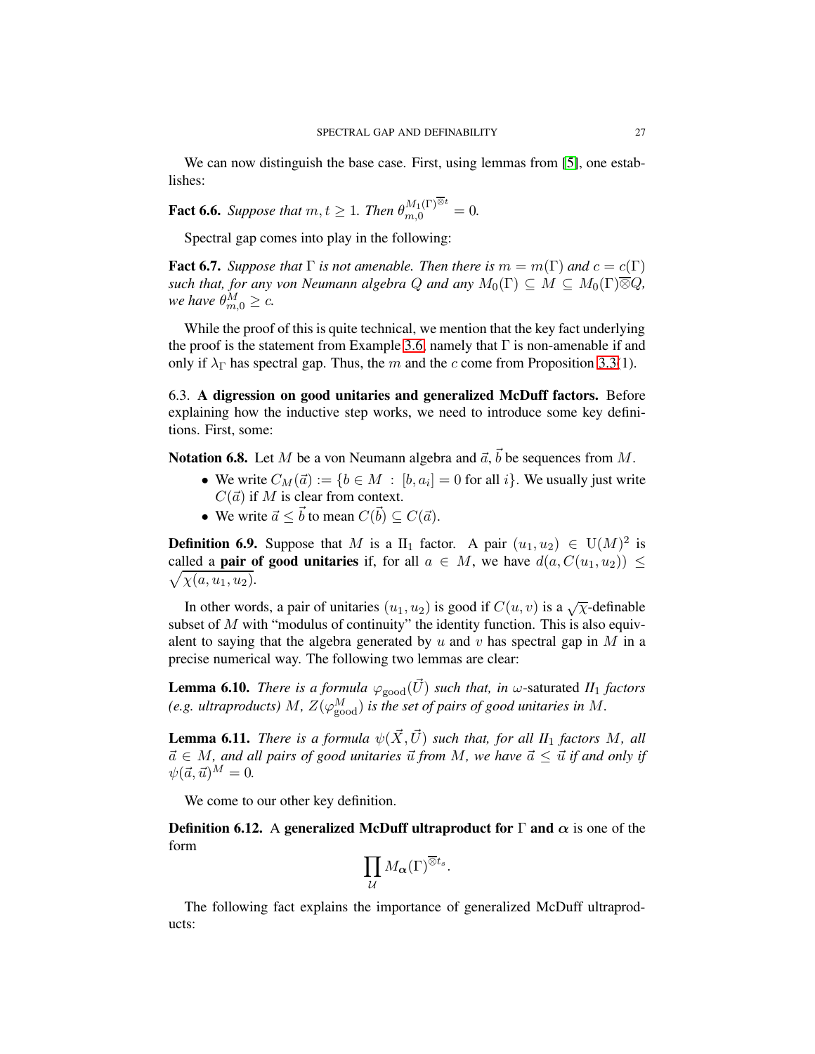We can now distinguish the base case. First, using lemmas from [\[5\]](#page-28-3), one establishes:

**Fact 6.6.** *Suppose that*  $m, t \geq 1$ *. Then*  $\theta_{m,0}^{M_1(\Gamma)^{\overline{\otimes}t}} = 0$ *.* 

Spectral gap comes into play in the following:

<span id="page-26-1"></span>**Fact 6.7.** *Suppose that*  $\Gamma$  *is not amenable. Then there is*  $m = m(\Gamma)$  *and*  $c = c(\Gamma)$ *such that, for any von Neumann algebra*  $Q$  *and any*  $M_0(\Gamma) \subseteq M \subseteq M_0(\Gamma) \overline{\otimes} Q$ , *we have*  $\theta_{m,0}^M \ge c$ .

While the proof of this is quite technical, we mention that the key fact underlying the proof is the statement from Example [3.6,](#page-11-3) namely that  $\Gamma$  is non-amenable if and only if  $\lambda_{\Gamma}$  has spectral gap. Thus, the m and the c come from Proposition [3.3\(](#page-11-1)1).

<span id="page-26-0"></span>6.3. A digression on good unitaries and generalized McDuff factors. Before explaining how the inductive step works, we need to introduce some key definitions. First, some:

**Notation 6.8.** Let M be a von Neumann algebra and  $\vec{a}$ ,  $\vec{b}$  be sequences from M.

- We write  $C_M(\vec{a}) := \{b \in M : [b, a_i] = 0 \text{ for all } i\}$ . We usually just write  $C(\vec{a})$  if M is clear from context.
- We write  $\vec{a} \leq \vec{b}$  to mean  $C(\vec{b}) \subseteq C(\vec{a})$ .

**Definition 6.9.** Suppose that M is a  $II_1$  factor. A pair  $(u_1, u_2) \in U(M)^2$  is called a **pair of good unitaries** if, for all  $a \in M$ , we have  $d(a, C(u_1, u_2)) \le$  $\sqrt{\chi(a, u_1, u_2)}$ .

In other words, a pair of unitaries  $(u_1, u_2)$  is good if  $C(u, v)$  is a  $\sqrt{\chi}$ -definable subset of  $M$  with "modulus of continuity" the identity function. This is also equivalent to saying that the algebra generated by u and v has spectral gap in M in a precise numerical way. The following two lemmas are clear:

**Lemma 6.10.** *There is a formula*  $\varphi_{\text{good}}(\vec{U})$  *such that, in*  $\omega$ -saturated *II*<sub>1</sub> *factors* (e.g. ultraproducts)  $M$ ,  $Z(\varphi_{\rm good}^M)$  is the set of pairs of good unitaries in  $M.$ 

**Lemma 6.11.** *There is a formula*  $\psi(\vec{X}, \vec{U})$  *such that, for all II*<sub>1</sub> *factors* M, all  $\vec{a} \in M$ , and all pairs of good unitaries  $\vec{u}$  from M, we have  $\vec{a} \leq \vec{u}$  if and only if  $\psi(\vec{a}, \vec{u})^M = 0.$ 

We come to our other key definition.

**Definition 6.12.** A generalized McDuff ultraproduct for  $\Gamma$  and  $\alpha$  is one of the form

$$
\prod_{\mathcal{U}} M_{\boldsymbol{\alpha}}(\Gamma)^{\overline{\otimes} t_s}.
$$

The following fact explains the importance of generalized McDuff ultraproducts: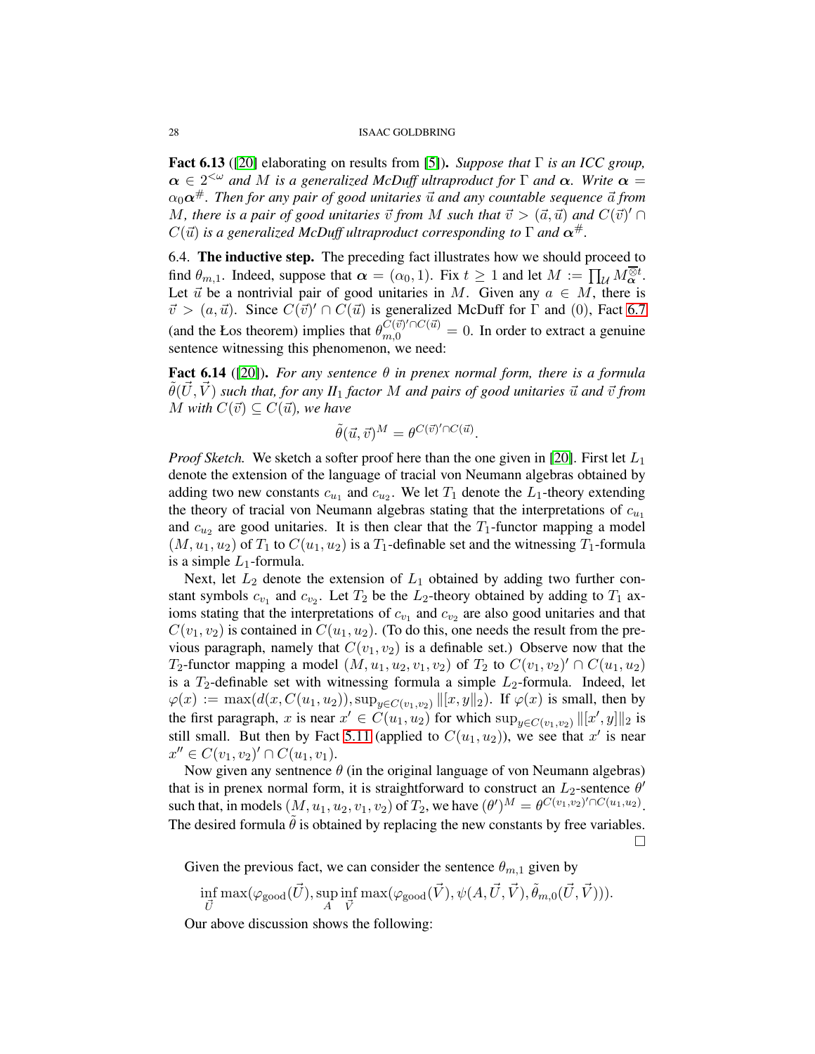Fact 6.13 ([\[20\]](#page-29-5) elaborating on results from [\[5\]](#page-28-3)). *Suppose that* Γ *is an ICC group,*  $\alpha \in 2^{<\omega}$  *and* M *is a generalized McDuff ultraproduct for*  $\Gamma$  *and*  $\alpha$ *. Write*  $\alpha =$  $\alpha_0 \alpha^{\#}$ . Then for any pair of good unitaries  $\vec{u}$  and any countable sequence  $\vec{a}$  from *M*, there is a pair of good unitaries  $\vec{v}$  from M such that  $\vec{v} > (\vec{a}, \vec{u})$  and  $C(\vec{v})' \cap$  $C(\vec{u})$  *is a generalized McDuff ultraproduct corresponding to*  $\Gamma$  *and*  $\alpha^{\#}$ *.* 

<span id="page-27-0"></span>6.4. The inductive step. The preceding fact illustrates how we should proceed to find  $\theta_{m,1}$ . Indeed, suppose that  $\alpha = (\alpha_0, 1)$ . Fix  $t \ge 1$  and let  $M := \prod_{\mathcal{U}} M_{\alpha}^{\overline{\otimes} t}$ . Let  $\vec{u}$  be a nontrivial pair of good unitaries in M. Given any  $a \in M$ , there is  $\vec{v} > (a, \vec{u})$ . Since  $C(\vec{v})' \cap C(\vec{u})$  is generalized McDuff for  $\Gamma$  and (0), Fact [6.7](#page-26-1) (and the Łos theorem) implies that  $\theta_{m,0}^{C(\vec{v})' \cap C(\vec{u})} = 0$ . In order to extract a genuine sentence witnessing this phenomenon, we need:

Fact 6.14 ([\[20\]](#page-29-5)). *For any sentence* θ *in prenex normal form, there is a formula*  $\tilde{\theta}(\vec{U}, \vec{V})$  *such that, for any II*<sub>1</sub> *factor* M *and pairs of good unitaries*  $\vec{u}$  *and*  $\vec{v}$  *from M* with  $C(\vec{v}) \subseteq C(\vec{u})$ , we have

$$
\tilde{\theta}(\vec{u}, \vec{v})^M = \theta^{C(\vec{v})' \cap C(\vec{u})}.
$$

*Proof Sketch.* We sketch a softer proof here than the one given in [\[20\]](#page-29-5). First let  $L_1$ denote the extension of the language of tracial von Neumann algebras obtained by adding two new constants  $c_{u_1}$  and  $c_{u_2}$ . We let  $T_1$  denote the  $L_1$ -theory extending the theory of tracial von Neumann algebras stating that the interpretations of  $c_{u_1}$ and  $c_{u_2}$  are good unitaries. It is then clear that the  $T_1$ -functor mapping a model  $(M, u_1, u_2)$  of  $T_1$  to  $C(u_1, u_2)$  is a  $T_1$ -definable set and the witnessing  $T_1$ -formula is a simple  $L_1$ -formula.

Next, let  $L_2$  denote the extension of  $L_1$  obtained by adding two further constant symbols  $c_{v_1}$  and  $c_{v_2}$ . Let  $T_2$  be the  $L_2$ -theory obtained by adding to  $T_1$  axioms stating that the interpretations of  $c_{v_1}$  and  $c_{v_2}$  are also good unitaries and that  $C(v_1, v_2)$  is contained in  $C(u_1, u_2)$ . (To do this, one needs the result from the previous paragraph, namely that  $C(v_1, v_2)$  is a definable set.) Observe now that the T<sub>2</sub>-functor mapping a model  $(M, u_1, u_2, v_1, v_2)$  of T<sub>2</sub> to  $C(v_1, v_2)' \cap C(u_1, u_2)$ is a  $T_2$ -definable set with witnessing formula a simple  $L_2$ -formula. Indeed, let  $\varphi(x) := \max(d(x, C(u_1, u_2)), \sup_{y \in C(v_1, v_2)} ||[x, y||_2)$ . If  $\varphi(x)$  is small, then by the first paragraph, x is near  $x' \in C(u_1, u_2)$  for which  $\sup_{y \in C(v_1, v_2)} ||[x', y]||_2$  is still small. But then by Fact [5.11](#page-21-6) (applied to  $C(u_1, u_2)$ ), we see that x' is near  $x'' \in C(v_1, v_2)' \cap C(u_1, v_1).$ 

Now given any sentnence  $\theta$  (in the original language of von Neumann algebras) that is in prenex normal form, it is straightforward to construct an  $L_2$ -sentence  $\theta'$ such that, in models  $(M, u_1, u_2, v_1, v_2)$  of  $T_2$ , we have  $(\theta')^M = \theta^{C(v_1, v_2)'\cap C(u_1, u_2)}$ . The desired formula  $\theta$  is obtained by replacing the new constants by free variables.

 $\Box$ 

Given the previous fact, we can consider the sentence  $\theta_{m,1}$  given by

$$
\inf_{\vec{U}} \max(\varphi_{\text{good}}(\vec{U}), \sup_{A} \inf_{\vec{V}} \max(\varphi_{\text{good}}(\vec{V}), \psi(A, \vec{U}, \vec{V}), \tilde{\theta}_{m,0}(\vec{U}, \vec{V}))).
$$

Our above discussion shows the following: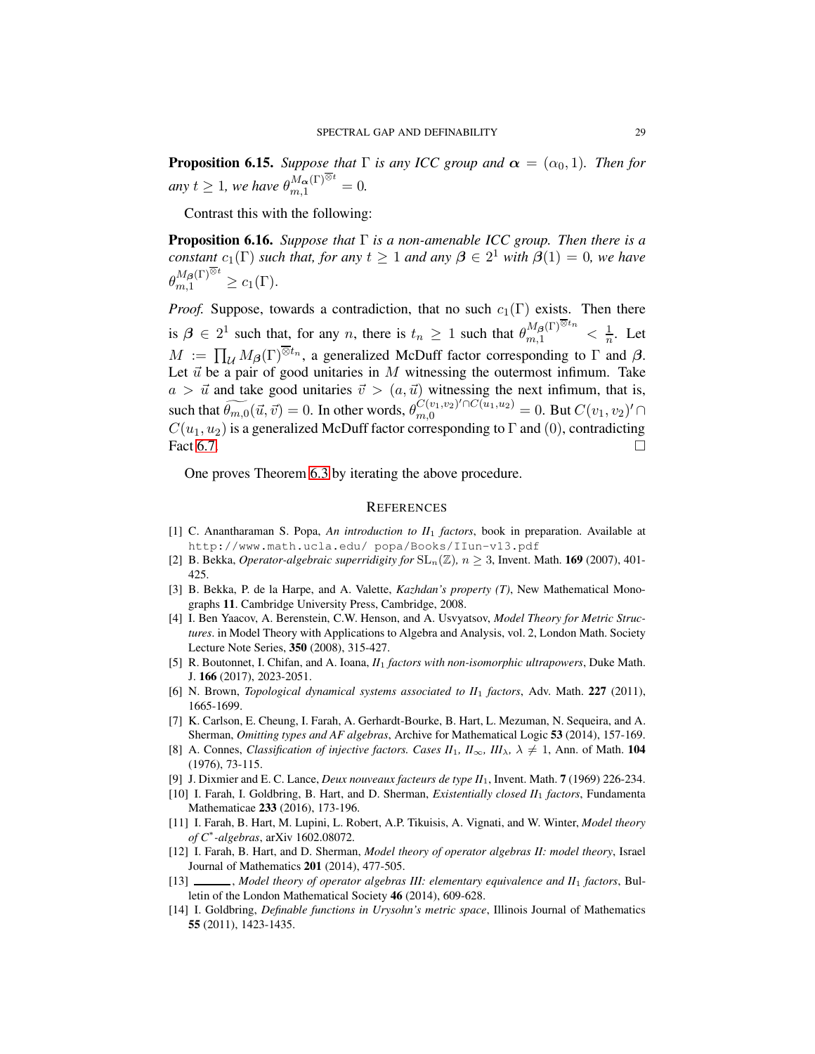**Proposition 6.15.** *Suppose that*  $\Gamma$  *is any ICC group and*  $\alpha = (\alpha_0, 1)$ *. Then for any*  $t \geq 1$ *, we have*  $\theta_{m,1}^{M_{\boldsymbol{\alpha}}(\Gamma)^{\overline{\otimes}t}} = 0$ *.* 

Contrast this with the following:

Proposition 6.16. *Suppose that* Γ *is a non-amenable ICC group. Then there is a constant*  $c_1(\Gamma)$  *such that, for any*  $t \geq 1$  *and any*  $\beta \in 2^1$  *with*  $\beta(1) = 0$ *, we have*  $\theta_{m,1}^{M_{\boldsymbol{\beta}}(\Gamma)^{\overline{\otimes}t}} \geq c_1(\Gamma).$ 

*Proof.* Suppose, towards a contradiction, that no such  $c_1(\Gamma)$  exists. Then there is  $\beta \in 2^1$  such that, for any n, there is  $t_n \geq 1$  such that  $\theta_{m,1}^{M_{\beta}(\Gamma)^{\overline{\otimes} t_n}} < \frac{1}{n}$ . Let  $M := \prod_{\mathcal{U}} M_{\beta}(\Gamma)^{\overline{\otimes} t_n}$ , a generalized McDuff factor corresponding to  $\Gamma$  and  $\beta$ . Let  $\vec{u}$  be a pair of good unitaries in  $M$  witnessing the outermost infimum. Take  $a > \vec{u}$  and take good unitaries  $\vec{v} > (a, \vec{u})$  witnessing the next infimum, that is, such that  $\widetilde{\theta_{m,0}}(\vec{u}, \vec{v}) = 0$ . In other words,  $\theta_{m,0}^{C(v_1, v_2)' \cap C(\bar{u}_1, u_2)} = 0$ . But  $C(v_1, v_2)' \cap C(\bar{u}_1, v_2)$  $C(u_1, u_2)$  is a generalized McDuff factor corresponding to  $\Gamma$  and  $(0)$ , contradicting Fact [6.7.](#page-26-1)  $\Box$ 

One proves Theorem [6.3](#page-25-1) by iterating the above procedure.

#### <span id="page-28-0"></span>**REFERENCES**

- <span id="page-28-7"></span>[1] C. Anantharaman S. Popa, *An introduction to II*<sup>1</sup> *factors*, book in preparation. Available at http://www.math.ucla.edu/ popa/Books/IIun-v13.pdf
- <span id="page-28-12"></span><span id="page-28-6"></span>[2] B. Bekka, *Operator-algebraic superridigity for*  $SL_n(\mathbb{Z})$ ,  $n \geq 3$ , Invent. Math. **169** (2007), 401-425.
- [3] B. Bekka, P. de la Harpe, and A. Valette, *Kazhdan's property (T)*, New Mathematical Monographs 11. Cambridge University Press, Cambridge, 2008.
- <span id="page-28-5"></span>[4] I. Ben Yaacov, A. Berenstein, C.W. Henson, and A. Usvyatsov, *Model Theory for Metric Structures*. in Model Theory with Applications to Algebra and Analysis, vol. 2, London Math. Society Lecture Note Series, 350 (2008), 315-427.
- <span id="page-28-3"></span>[5] R. Boutonnet, I. Chifan, and A. Ioana, *II*<sup>1</sup> *factors with non-isomorphic ultrapowers*, Duke Math. J. 166 (2017), 2023-2051.
- <span id="page-28-13"></span><span id="page-28-4"></span>[6] N. Brown, *Topological dynamical systems associated to II*<sup>1</sup> *factors*, Adv. Math. 227 (2011), 1665-1699.
- [7] K. Carlson, E. Cheung, I. Farah, A. Gerhardt-Bourke, B. Hart, L. Mezuman, N. Sequeira, and A. Sherman, *Omitting types and AF algebras*, Archive for Mathematical Logic 53 (2014), 157-169.
- <span id="page-28-8"></span>[8] A. Connes, *Classification of injective factors. Cases*  $II_1$ *,*  $II_\infty$ *,*  $II_\lambda$ *,*  $\lambda \neq 1$ *, Ann. of Math. 104* (1976), 73-115.
- <span id="page-28-14"></span><span id="page-28-11"></span>[9] J. Dixmier and E. C. Lance, *Deux nouveaux facteurs de type II*1, Invent. Math. 7 (1969) 226-234.
- [10] I. Farah, I. Goldbring, B. Hart, and D. Sherman, *Existentially closed II*<sup>1</sup> *factors*, Fundamenta Mathematicae 233 (2016), 173-196.
- <span id="page-28-2"></span>[11] I. Farah, B. Hart, M. Lupini, L. Robert, A.P. Tikuisis, A. Vignati, and W. Winter, *Model theory of C*<sup>∗</sup> *-algebras*, arXiv 1602.08072.
- <span id="page-28-9"></span>[12] I. Farah, B. Hart, and D. Sherman, *Model theory of operator algebras II: model theory*, Israel Journal of Mathematics 201 (2014), 477-505.
- <span id="page-28-10"></span>[13] , *Model theory of operator algebras III: elementary equivalence and II*<sup>1</sup> *factors*, Bulletin of the London Mathematical Society 46 (2014), 609-628.
- <span id="page-28-1"></span>[14] I. Goldbring, *Definable functions in Urysohn's metric space*, Illinois Journal of Mathematics 55 (2011), 1423-1435.